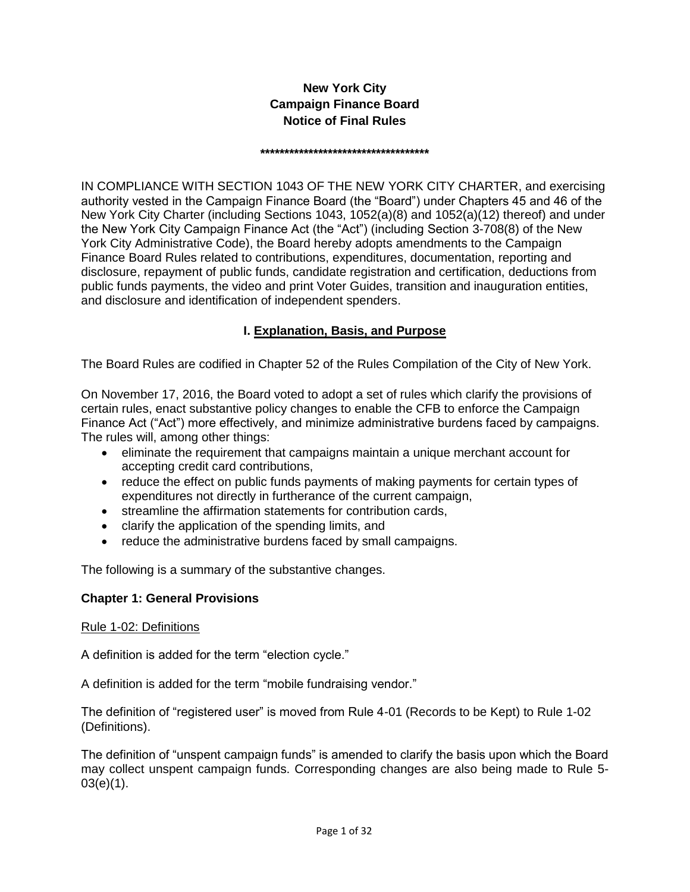# **New York City Campaign Finance Board Notice of Final Rules**

#### **\*\*\*\*\*\*\*\*\*\*\*\*\*\*\*\*\*\*\*\*\*\*\*\*\*\*\*\*\*\*\*\*\*\*\***

IN COMPLIANCE WITH SECTION 1043 OF THE NEW YORK CITY CHARTER, and exercising authority vested in the Campaign Finance Board (the "Board") under Chapters 45 and 46 of the New York City Charter (including Sections 1043, 1052(a)(8) and 1052(a)(12) thereof) and under the New York City Campaign Finance Act (the "Act") (including Section 3-708(8) of the New York City Administrative Code), the Board hereby adopts amendments to the Campaign Finance Board Rules related to contributions, expenditures, documentation, reporting and disclosure, repayment of public funds, candidate registration and certification, deductions from public funds payments, the video and print Voter Guides, transition and inauguration entities, and disclosure and identification of independent spenders.

# **I. Explanation, Basis, and Purpose**

The Board Rules are codified in Chapter 52 of the Rules Compilation of the City of New York.

On November 17, 2016, the Board voted to adopt a set of rules which clarify the provisions of certain rules, enact substantive policy changes to enable the CFB to enforce the Campaign Finance Act ("Act") more effectively, and minimize administrative burdens faced by campaigns. The rules will, among other things:

- eliminate the requirement that campaigns maintain a unique merchant account for accepting credit card contributions,
- reduce the effect on public funds payments of making payments for certain types of expenditures not directly in furtherance of the current campaign,
- streamline the affirmation statements for contribution cards,
- clarify the application of the spending limits, and
- reduce the administrative burdens faced by small campaigns.

The following is a summary of the substantive changes.

### **Chapter 1: General Provisions**

#### Rule 1-02: Definitions

A definition is added for the term "election cycle."

A definition is added for the term "mobile fundraising vendor."

The definition of "registered user" is moved from Rule 4-01 (Records to be Kept) to Rule 1-02 (Definitions).

The definition of "unspent campaign funds" is amended to clarify the basis upon which the Board may collect unspent campaign funds. Corresponding changes are also being made to Rule 5- 03(e)(1).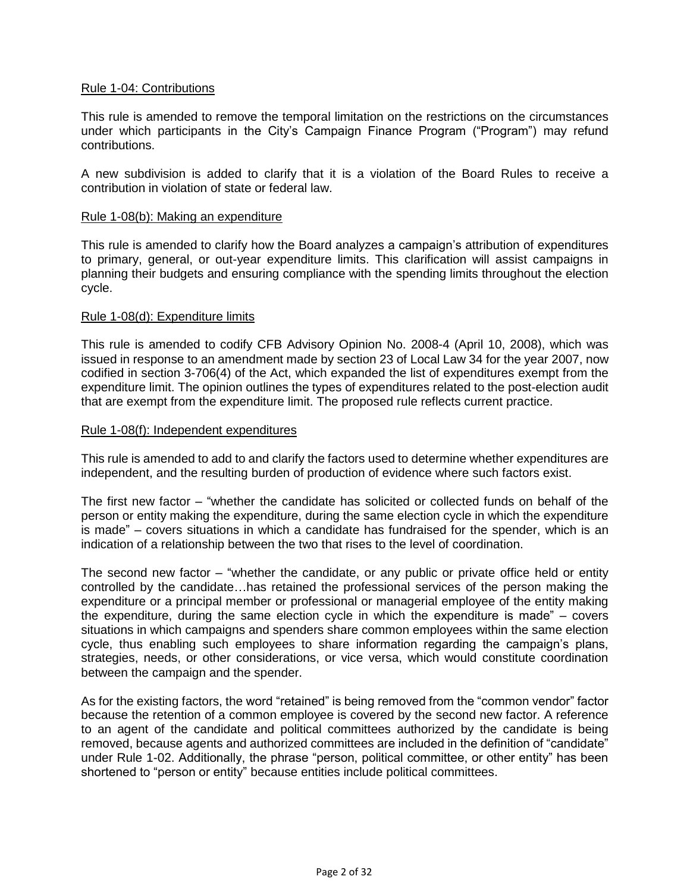#### Rule 1-04: Contributions

This rule is amended to remove the temporal limitation on the restrictions on the circumstances under which participants in the City's Campaign Finance Program ("Program") may refund contributions.

A new subdivision is added to clarify that it is a violation of the Board Rules to receive a contribution in violation of state or federal law.

#### Rule 1-08(b): Making an expenditure

This rule is amended to clarify how the Board analyzes a campaign's attribution of expenditures to primary, general, or out-year expenditure limits. This clarification will assist campaigns in planning their budgets and ensuring compliance with the spending limits throughout the election cycle.

#### Rule 1-08(d): Expenditure limits

This rule is amended to codify CFB Advisory Opinion No. 2008-4 (April 10, 2008), which was issued in response to an amendment made by section 23 of Local Law 34 for the year 2007, now codified in section 3-706(4) of the Act, which expanded the list of expenditures exempt from the expenditure limit. The opinion outlines the types of expenditures related to the post-election audit that are exempt from the expenditure limit. The proposed rule reflects current practice.

#### Rule 1-08(f): Independent expenditures

This rule is amended to add to and clarify the factors used to determine whether expenditures are independent, and the resulting burden of production of evidence where such factors exist.

The first new factor – "whether the candidate has solicited or collected funds on behalf of the person or entity making the expenditure, during the same election cycle in which the expenditure is made" – covers situations in which a candidate has fundraised for the spender, which is an indication of a relationship between the two that rises to the level of coordination.

The second new factor – "whether the candidate, or any public or private office held or entity controlled by the candidate…has retained the professional services of the person making the expenditure or a principal member or professional or managerial employee of the entity making the expenditure, during the same election cycle in which the expenditure is made" – covers situations in which campaigns and spenders share common employees within the same election cycle, thus enabling such employees to share information regarding the campaign's plans, strategies, needs, or other considerations, or vice versa, which would constitute coordination between the campaign and the spender.

As for the existing factors, the word "retained" is being removed from the "common vendor" factor because the retention of a common employee is covered by the second new factor. A reference to an agent of the candidate and political committees authorized by the candidate is being removed, because agents and authorized committees are included in the definition of "candidate" under Rule 1-02. Additionally, the phrase "person, political committee, or other entity" has been shortened to "person or entity" because entities include political committees.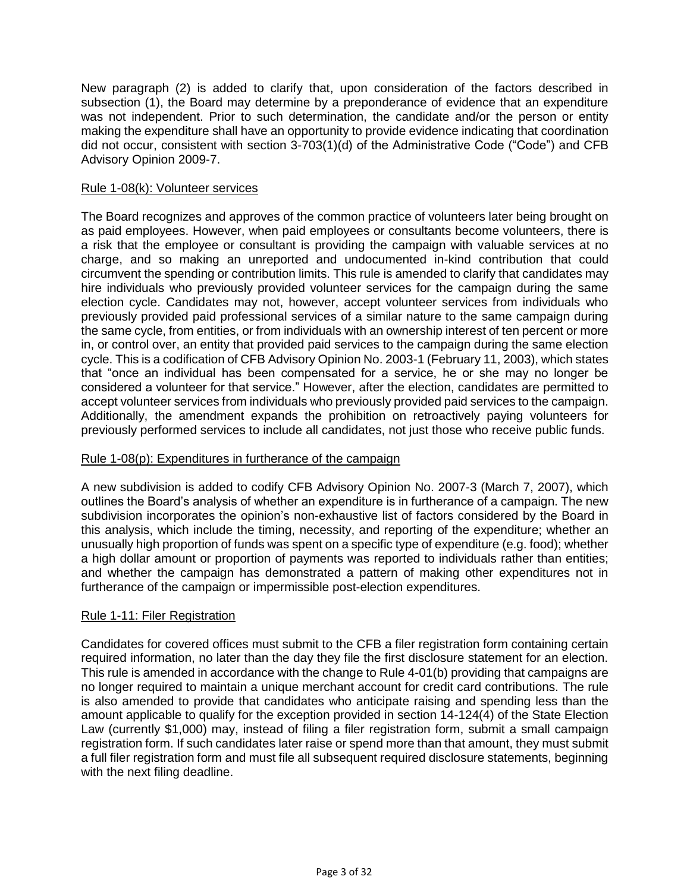New paragraph (2) is added to clarify that, upon consideration of the factors described in subsection (1), the Board may determine by a preponderance of evidence that an expenditure was not independent. Prior to such determination, the candidate and/or the person or entity making the expenditure shall have an opportunity to provide evidence indicating that coordination did not occur, consistent with section 3-703(1)(d) of the Administrative Code ("Code") and CFB Advisory Opinion 2009-7.

#### Rule 1-08(k): Volunteer services

The Board recognizes and approves of the common practice of volunteers later being brought on as paid employees. However, when paid employees or consultants become volunteers, there is a risk that the employee or consultant is providing the campaign with valuable services at no charge, and so making an unreported and undocumented in-kind contribution that could circumvent the spending or contribution limits. This rule is amended to clarify that candidates may hire individuals who previously provided volunteer services for the campaign during the same election cycle. Candidates may not, however, accept volunteer services from individuals who previously provided paid professional services of a similar nature to the same campaign during the same cycle, from entities, or from individuals with an ownership interest of ten percent or more in, or control over, an entity that provided paid services to the campaign during the same election cycle. This is a codification of CFB Advisory Opinion No. 2003-1 (February 11, 2003), which states that "once an individual has been compensated for a service, he or she may no longer be considered a volunteer for that service." However, after the election, candidates are permitted to accept volunteer services from individuals who previously provided paid services to the campaign. Additionally, the amendment expands the prohibition on retroactively paying volunteers for previously performed services to include all candidates, not just those who receive public funds.

### Rule 1-08(p): Expenditures in furtherance of the campaign

A new subdivision is added to codify CFB Advisory Opinion No. 2007-3 (March 7, 2007), which outlines the Board's analysis of whether an expenditure is in furtherance of a campaign. The new subdivision incorporates the opinion's non-exhaustive list of factors considered by the Board in this analysis, which include the timing, necessity, and reporting of the expenditure; whether an unusually high proportion of funds was spent on a specific type of expenditure (e.g. food); whether a high dollar amount or proportion of payments was reported to individuals rather than entities; and whether the campaign has demonstrated a pattern of making other expenditures not in furtherance of the campaign or impermissible post-election expenditures.

### Rule 1-11: Filer Registration

Candidates for covered offices must submit to the CFB a filer registration form containing certain required information, no later than the day they file the first disclosure statement for an election. This rule is amended in accordance with the change to Rule 4-01(b) providing that campaigns are no longer required to maintain a unique merchant account for credit card contributions. The rule is also amended to provide that candidates who anticipate raising and spending less than the amount applicable to qualify for the exception provided in section 14-124(4) of the State Election Law (currently \$1,000) may, instead of filing a filer registration form, submit a small campaign registration form. If such candidates later raise or spend more than that amount, they must submit a full filer registration form and must file all subsequent required disclosure statements, beginning with the next filing deadline.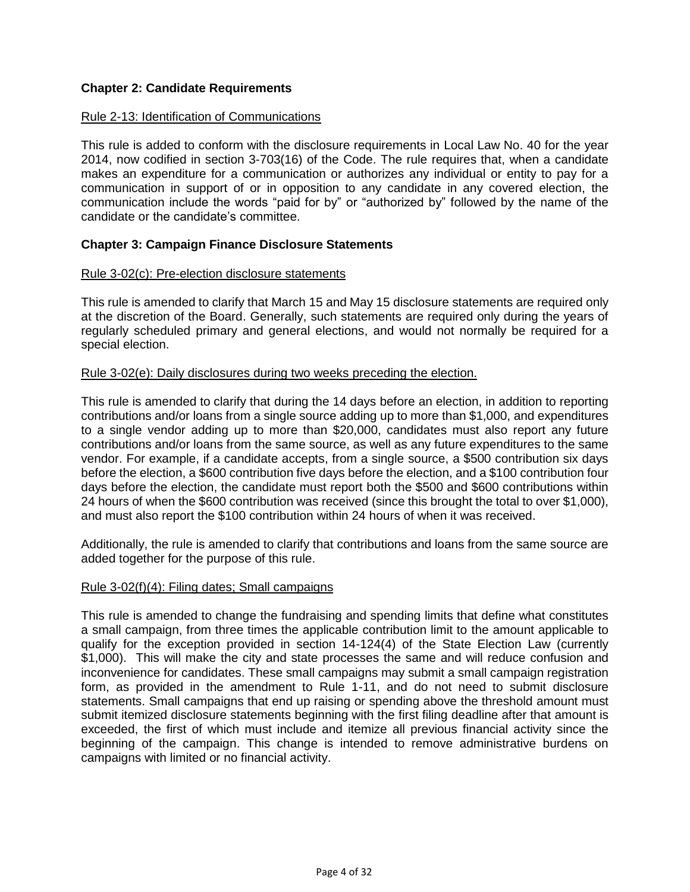### **Chapter 2: Candidate Requirements**

### Rule 2-13: Identification of Communications

This rule is added to conform with the disclosure requirements in Local Law No. 40 for the year 2014, now codified in section 3-703(16) of the Code. The rule requires that, when a candidate makes an expenditure for a communication or authorizes any individual or entity to pay for a communication in support of or in opposition to any candidate in any covered election, the communication include the words "paid for by" or "authorized by" followed by the name of the candidate or the candidate's committee.

### **Chapter 3: Campaign Finance Disclosure Statements**

#### Rule 3-02(c): Pre-election disclosure statements

This rule is amended to clarify that March 15 and May 15 disclosure statements are required only at the discretion of the Board. Generally, such statements are required only during the years of regularly scheduled primary and general elections, and would not normally be required for a special election.

#### Rule 3-02(e): Daily disclosures during two weeks preceding the election.

This rule is amended to clarify that during the 14 days before an election, in addition to reporting contributions and/or loans from a single source adding up to more than \$1,000, and expenditures to a single vendor adding up to more than \$20,000, candidates must also report any future contributions and/or loans from the same source, as well as any future expenditures to the same vendor. For example, if a candidate accepts, from a single source, a \$500 contribution six days before the election, a \$600 contribution five days before the election, and a \$100 contribution four days before the election, the candidate must report both the \$500 and \$600 contributions within 24 hours of when the \$600 contribution was received (since this brought the total to over \$1,000), and must also report the \$100 contribution within 24 hours of when it was received.

Additionally, the rule is amended to clarify that contributions and loans from the same source are added together for the purpose of this rule.

#### Rule 3-02(f)(4): Filing dates; Small campaigns

This rule is amended to change the fundraising and spending limits that define what constitutes a small campaign, from three times the applicable contribution limit to the amount applicable to qualify for the exception provided in section 14-124(4) of the State Election Law (currently \$1,000). This will make the city and state processes the same and will reduce confusion and inconvenience for candidates. These small campaigns may submit a small campaign registration form, as provided in the amendment to Rule 1-11, and do not need to submit disclosure statements. Small campaigns that end up raising or spending above the threshold amount must submit itemized disclosure statements beginning with the first filing deadline after that amount is exceeded, the first of which must include and itemize all previous financial activity since the beginning of the campaign. This change is intended to remove administrative burdens on campaigns with limited or no financial activity.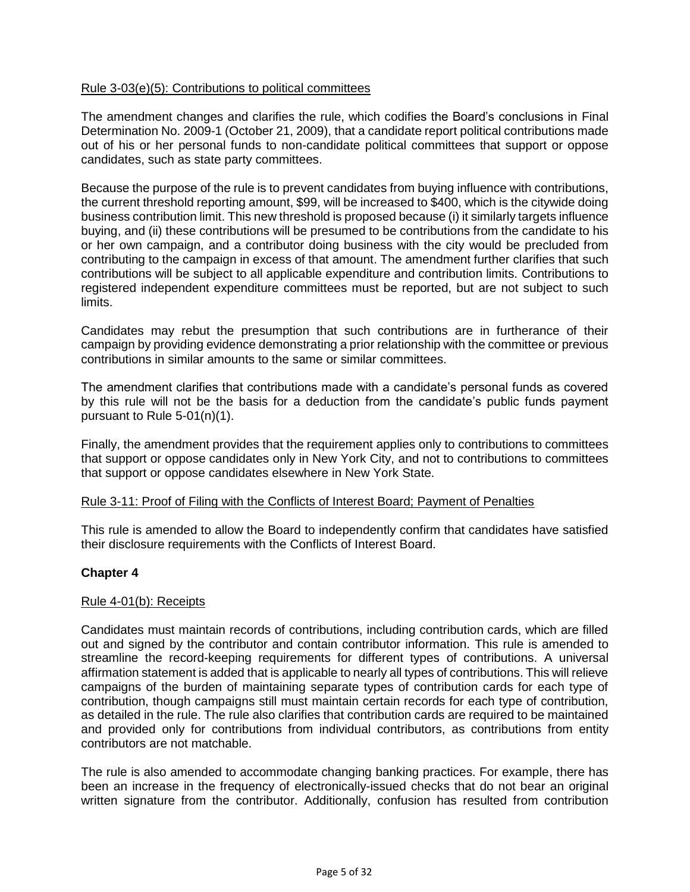### Rule 3-03(e)(5): Contributions to political committees

The amendment changes and clarifies the rule, which codifies the Board's conclusions in Final Determination No. 2009-1 (October 21, 2009), that a candidate report political contributions made out of his or her personal funds to non-candidate political committees that support or oppose candidates, such as state party committees.

Because the purpose of the rule is to prevent candidates from buying influence with contributions, the current threshold reporting amount, \$99, will be increased to \$400, which is the citywide doing business contribution limit. This new threshold is proposed because (i) it similarly targets influence buying, and (ii) these contributions will be presumed to be contributions from the candidate to his or her own campaign, and a contributor doing business with the city would be precluded from contributing to the campaign in excess of that amount. The amendment further clarifies that such contributions will be subject to all applicable expenditure and contribution limits. Contributions to registered independent expenditure committees must be reported, but are not subject to such limits.

Candidates may rebut the presumption that such contributions are in furtherance of their campaign by providing evidence demonstrating a prior relationship with the committee or previous contributions in similar amounts to the same or similar committees.

The amendment clarifies that contributions made with a candidate's personal funds as covered by this rule will not be the basis for a deduction from the candidate's public funds payment pursuant to Rule 5-01(n)(1).

Finally, the amendment provides that the requirement applies only to contributions to committees that support or oppose candidates only in New York City, and not to contributions to committees that support or oppose candidates elsewhere in New York State.

#### Rule 3-11: [Proof of Filing with the Conflicts of Interest Board; Payment of Penalties](http://www.nyccfb.info/act-program/rules/index.aspx#3_03_11)

This rule is amended to allow the Board to independently confirm that candidates have satisfied their disclosure requirements with the Conflicts of Interest Board.

#### **Chapter 4**

#### Rule 4-01(b): Receipts

Candidates must maintain records of contributions, including contribution cards, which are filled out and signed by the contributor and contain contributor information. This rule is amended to streamline the record-keeping requirements for different types of contributions. A universal affirmation statement is added that is applicable to nearly all types of contributions. This will relieve campaigns of the burden of maintaining separate types of contribution cards for each type of contribution, though campaigns still must maintain certain records for each type of contribution, as detailed in the rule. The rule also clarifies that contribution cards are required to be maintained and provided only for contributions from individual contributors, as contributions from entity contributors are not matchable.

The rule is also amended to accommodate changing banking practices. For example, there has been an increase in the frequency of electronically-issued checks that do not bear an original written signature from the contributor. Additionally, confusion has resulted from contribution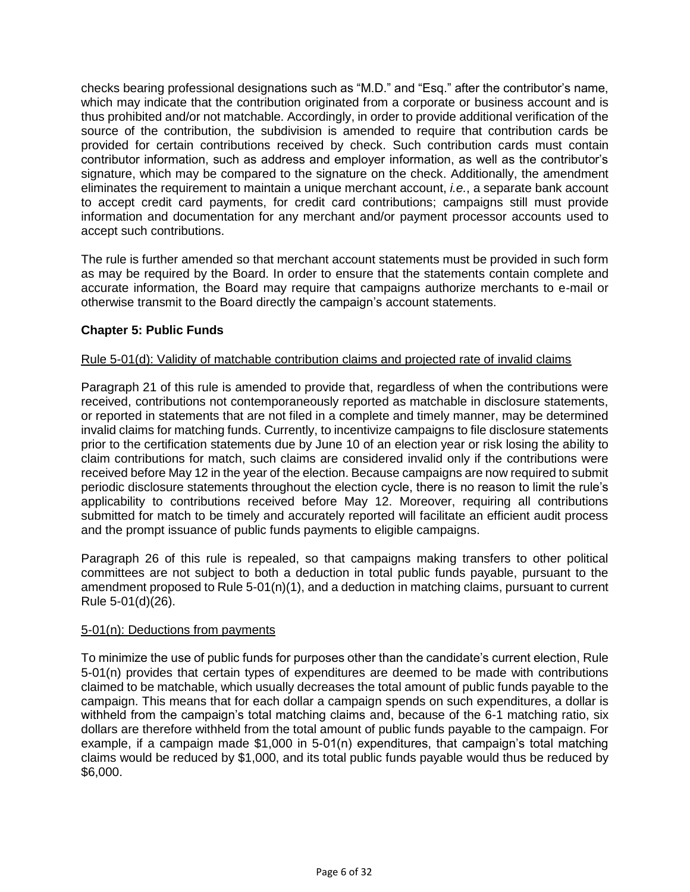checks bearing professional designations such as "M.D." and "Esq." after the contributor's name, which may indicate that the contribution originated from a corporate or business account and is thus prohibited and/or not matchable. Accordingly, in order to provide additional verification of the source of the contribution, the subdivision is amended to require that contribution cards be provided for certain contributions received by check. Such contribution cards must contain contributor information, such as address and employer information, as well as the contributor's signature, which may be compared to the signature on the check. Additionally, the amendment eliminates the requirement to maintain a unique merchant account, *i.e.*, a separate bank account to accept credit card payments, for credit card contributions; campaigns still must provide information and documentation for any merchant and/or payment processor accounts used to accept such contributions.

The rule is further amended so that merchant account statements must be provided in such form as may be required by the Board. In order to ensure that the statements contain complete and accurate information, the Board may require that campaigns authorize merchants to e-mail or otherwise transmit to the Board directly the campaign's account statements.

# **Chapter 5: Public Funds**

### Rule 5-01(d): Validity of matchable contribution claims and projected rate of invalid claims

Paragraph 21 of this rule is amended to provide that, regardless of when the contributions were received, contributions not contemporaneously reported as matchable in disclosure statements, or reported in statements that are not filed in a complete and timely manner, may be determined invalid claims for matching funds. Currently, to incentivize campaigns to file disclosure statements prior to the certification statements due by June 10 of an election year or risk losing the ability to claim contributions for match, such claims are considered invalid only if the contributions were received before May 12 in the year of the election. Because campaigns are now required to submit periodic disclosure statements throughout the election cycle, there is no reason to limit the rule's applicability to contributions received before May 12. Moreover, requiring all contributions submitted for match to be timely and accurately reported will facilitate an efficient audit process and the prompt issuance of public funds payments to eligible campaigns.

Paragraph 26 of this rule is repealed, so that campaigns making transfers to other political committees are not subject to both a deduction in total public funds payable, pursuant to the amendment proposed to Rule  $5-01(n)(1)$ , and a deduction in matching claims, pursuant to current Rule 5-01(d)(26).

#### 5-01(n): Deductions from payments

To minimize the use of public funds for purposes other than the candidate's current election, Rule 5-01(n) provides that certain types of expenditures are deemed to be made with contributions claimed to be matchable, which usually decreases the total amount of public funds payable to the campaign. This means that for each dollar a campaign spends on such expenditures, a dollar is withheld from the campaign's total matching claims and, because of the 6-1 matching ratio, six dollars are therefore withheld from the total amount of public funds payable to the campaign. For example, if a campaign made \$1,000 in 5-01(n) expenditures, that campaign's total matching claims would be reduced by \$1,000, and its total public funds payable would thus be reduced by \$6,000.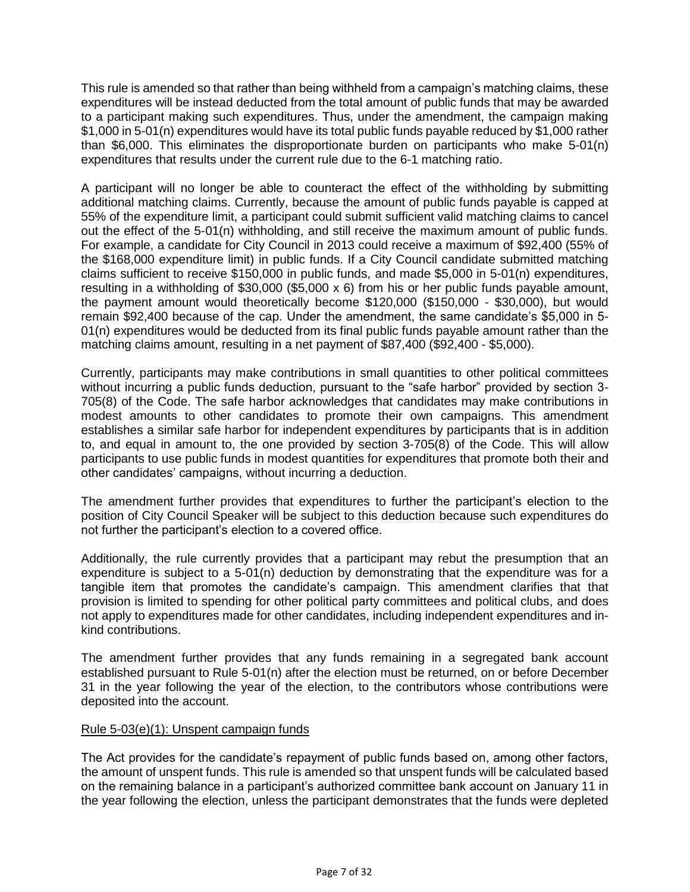This rule is amended so that rather than being withheld from a campaign's matching claims, these expenditures will be instead deducted from the total amount of public funds that may be awarded to a participant making such expenditures. Thus, under the amendment, the campaign making \$1,000 in 5-01(n) expenditures would have its total public funds payable reduced by \$1,000 rather than \$6,000. This eliminates the disproportionate burden on participants who make 5-01(n) expenditures that results under the current rule due to the 6-1 matching ratio.

A participant will no longer be able to counteract the effect of the withholding by submitting additional matching claims. Currently, because the amount of public funds payable is capped at 55% of the expenditure limit, a participant could submit sufficient valid matching claims to cancel out the effect of the 5-01(n) withholding, and still receive the maximum amount of public funds. For example, a candidate for City Council in 2013 could receive a maximum of \$92,400 (55% of the \$168,000 expenditure limit) in public funds. If a City Council candidate submitted matching claims sufficient to receive \$150,000 in public funds, and made \$5,000 in 5-01(n) expenditures, resulting in a withholding of \$30,000 (\$5,000 x 6) from his or her public funds payable amount, the payment amount would theoretically become \$120,000 (\$150,000 - \$30,000), but would remain \$92,400 because of the cap. Under the amendment, the same candidate's \$5,000 in 5- 01(n) expenditures would be deducted from its final public funds payable amount rather than the matching claims amount, resulting in a net payment of \$87,400 (\$92,400 - \$5,000).

Currently, participants may make contributions in small quantities to other political committees without incurring a public funds deduction, pursuant to the "safe harbor" provided by section 3- 705(8) of the Code. The safe harbor acknowledges that candidates may make contributions in modest amounts to other candidates to promote their own campaigns. This amendment establishes a similar safe harbor for independent expenditures by participants that is in addition to, and equal in amount to, the one provided by section 3-705(8) of the Code. This will allow participants to use public funds in modest quantities for expenditures that promote both their and other candidates' campaigns, without incurring a deduction.

The amendment further provides that expenditures to further the participant's election to the position of City Council Speaker will be subject to this deduction because such expenditures do not further the participant's election to a covered office.

Additionally, the rule currently provides that a participant may rebut the presumption that an expenditure is subject to a  $5-01(n)$  deduction by demonstrating that the expenditure was for a tangible item that promotes the candidate's campaign. This amendment clarifies that that provision is limited to spending for other political party committees and political clubs, and does not apply to expenditures made for other candidates, including independent expenditures and inkind contributions.

The amendment further provides that any funds remaining in a segregated bank account established pursuant to Rule 5-01(n) after the election must be returned, on or before December 31 in the year following the year of the election, to the contributors whose contributions were deposited into the account.

### Rule 5-03(e)(1): Unspent campaign funds

The Act provides for the candidate's repayment of public funds based on, among other factors, the amount of unspent funds. This rule is amended so that unspent funds will be calculated based on the remaining balance in a participant's authorized committee bank account on January 11 in the year following the election, unless the participant demonstrates that the funds were depleted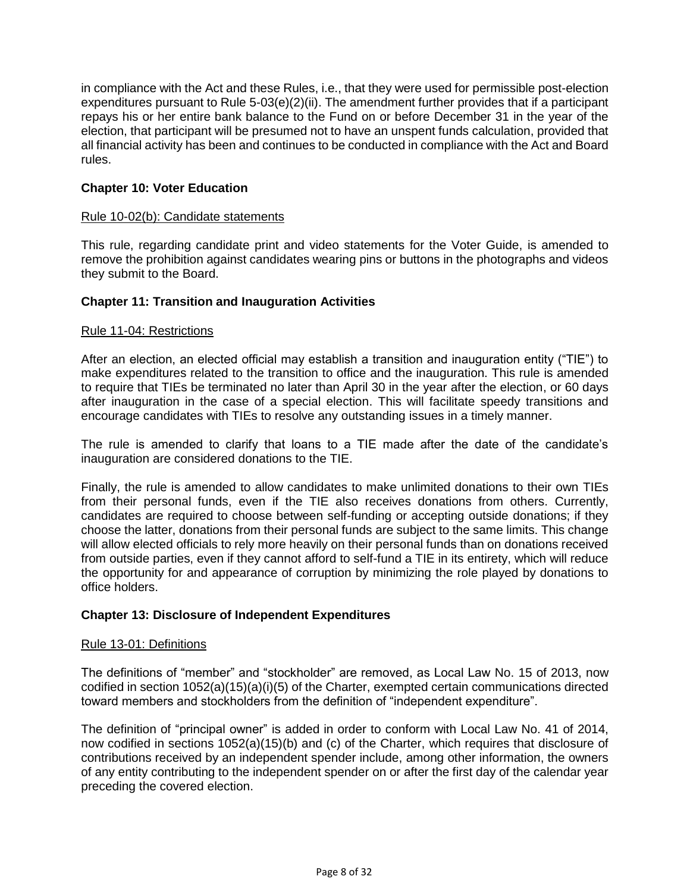in compliance with the Act and these Rules, i.e., that they were used for permissible post-election expenditures pursuant to Rule 5-03(e)(2)(ii). The amendment further provides that if a participant repays his or her entire bank balance to the Fund on or before December 31 in the year of the election, that participant will be presumed not to have an unspent funds calculation, provided that all financial activity has been and continues to be conducted in compliance with the Act and Board rules.

### **Chapter 10: Voter Education**

#### Rule 10-02(b): Candidate statements

This rule, regarding candidate print and video statements for the Voter Guide, is amended to remove the prohibition against candidates wearing pins or buttons in the photographs and videos they submit to the Board.

### **Chapter 11: Transition and Inauguration Activities**

#### Rule 11-04: Restrictions

After an election, an elected official may establish a transition and inauguration entity ("TIE") to make expenditures related to the transition to office and the inauguration. This rule is amended to require that TIEs be terminated no later than April 30 in the year after the election, or 60 days after inauguration in the case of a special election. This will facilitate speedy transitions and encourage candidates with TIEs to resolve any outstanding issues in a timely manner.

The rule is amended to clarify that loans to a TIE made after the date of the candidate's inauguration are considered donations to the TIE.

Finally, the rule is amended to allow candidates to make unlimited donations to their own TIEs from their personal funds, even if the TIE also receives donations from others. Currently, candidates are required to choose between self-funding or accepting outside donations; if they choose the latter, donations from their personal funds are subject to the same limits. This change will allow elected officials to rely more heavily on their personal funds than on donations received from outside parties, even if they cannot afford to self-fund a TIE in its entirety, which will reduce the opportunity for and appearance of corruption by minimizing the role played by donations to office holders.

#### **Chapter 13: Disclosure of Independent Expenditures**

#### Rule 13-01: Definitions

The definitions of "member" and "stockholder" are removed, as Local Law No. 15 of 2013, now codified in section 1052(a)(15)(a)(i)(5) of the Charter, exempted certain communications directed toward members and stockholders from the definition of "independent expenditure".

The definition of "principal owner" is added in order to conform with Local Law No. 41 of 2014, now codified in sections 1052(a)(15)(b) and (c) of the Charter, which requires that disclosure of contributions received by an independent spender include, among other information, the owners of any entity contributing to the independent spender on or after the first day of the calendar year preceding the covered election.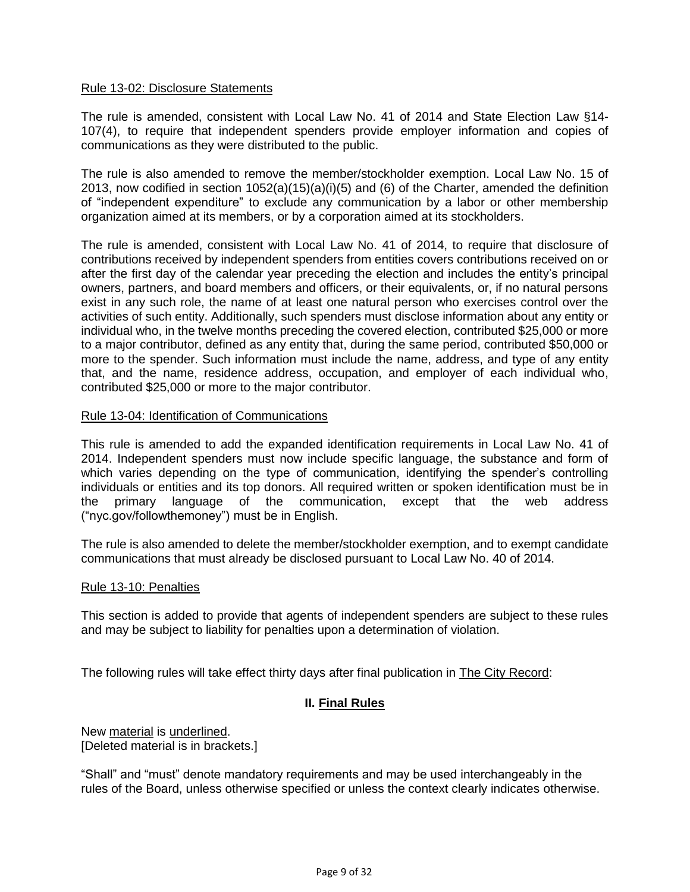#### Rule 13-02: Disclosure Statements

The rule is amended, consistent with Local Law No. 41 of 2014 and State Election Law §14- 107(4), to require that independent spenders provide employer information and copies of communications as they were distributed to the public.

The rule is also amended to remove the member/stockholder exemption. Local Law No. 15 of 2013, now codified in section  $1052(a)(15)(a)(i)(5)$  and (6) of the Charter, amended the definition of "independent expenditure" to exclude any communication by a labor or other membership organization aimed at its members, or by a corporation aimed at its stockholders.

The rule is amended, consistent with Local Law No. 41 of 2014, to require that disclosure of contributions received by independent spenders from entities covers contributions received on or after the first day of the calendar year preceding the election and includes the entity's principal owners, partners, and board members and officers, or their equivalents, or, if no natural persons exist in any such role, the name of at least one natural person who exercises control over the activities of such entity. Additionally, such spenders must disclose information about any entity or individual who, in the twelve months preceding the covered election, contributed \$25,000 or more to a major contributor, defined as any entity that, during the same period, contributed \$50,000 or more to the spender. Such information must include the name, address, and type of any entity that, and the name, residence address, occupation, and employer of each individual who, contributed \$25,000 or more to the major contributor.

#### Rule 13-04: Identification of Communications

This rule is amended to add the expanded identification requirements in Local Law No. 41 of 2014. Independent spenders must now include specific language, the substance and form of which varies depending on the type of communication, identifying the spender's controlling individuals or entities and its top donors. All required written or spoken identification must be in the primary language of the communication, except that the web address ("nyc.gov/followthemoney") must be in English.

The rule is also amended to delete the member/stockholder exemption, and to exempt candidate communications that must already be disclosed pursuant to Local Law No. 40 of 2014.

#### Rule 13-10: Penalties

This section is added to provide that agents of independent spenders are subject to these rules and may be subject to liability for penalties upon a determination of violation.

The following rules will take effect thirty days after final publication in The City Record:

### **II. Final Rules**

New material is underlined. [Deleted material is in brackets.]

"Shall" and "must" denote mandatory requirements and may be used interchangeably in the rules of the Board, unless otherwise specified or unless the context clearly indicates otherwise.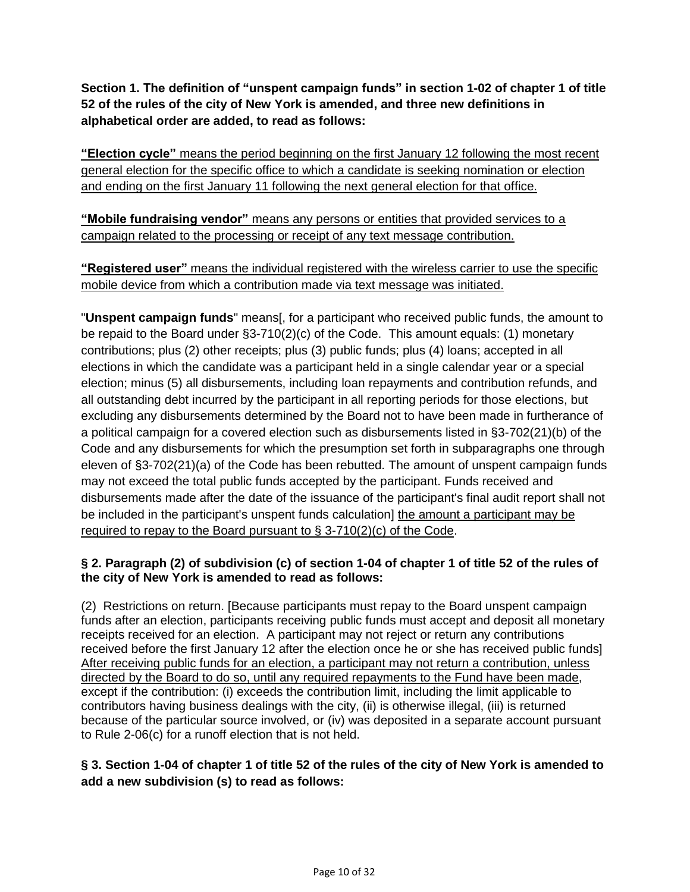**Section 1. The definition of "unspent campaign funds" in section 1-02 of chapter 1 of title 52 of the rules of the city of New York is amended, and three new definitions in alphabetical order are added, to read as follows:**

**"Election cycle"** means the period beginning on the first January 12 following the most recent general election for the specific office to which a candidate is seeking nomination or election and ending on the first January 11 following the next general election for that office.

**"Mobile fundraising vendor"** means any persons or entities that provided services to a campaign related to the processing or receipt of any text message contribution.

**"Registered user"** means the individual registered with the wireless carrier to use the specific mobile device from which a contribution made via text message was initiated.

"**Unspent campaign funds**" means[, for a participant who received public funds, the amount to be repaid to the Board under §3-710(2)(c) of the Code. This amount equals: (1) monetary contributions; plus (2) other receipts; plus (3) public funds; plus (4) loans; accepted in all elections in which the candidate was a participant held in a single calendar year or a special election; minus (5) all disbursements, including loan repayments and contribution refunds, and all outstanding debt incurred by the participant in all reporting periods for those elections, but excluding any disbursements determined by the Board not to have been made in furtherance of a political campaign for a covered election such as disbursements listed in §3-702(21)(b) of the Code and any disbursements for which the presumption set forth in subparagraphs one through eleven of §3-702(21)(a) of the Code has been rebutted. The amount of unspent campaign funds may not exceed the total public funds accepted by the participant. Funds received and disbursements made after the date of the issuance of the participant's final audit report shall not be included in the participant's unspent funds calculation] the amount a participant may be required to repay to the Board pursuant to § 3-710(2)(c) of the Code.

# **§ 2. Paragraph (2) of subdivision (c) of section 1-04 of chapter 1 of title 52 of the rules of the city of New York is amended to read as follows:**

(2) Restrictions on return. [Because participants must repay to the Board unspent campaign funds after an election, participants receiving public funds must accept and deposit all monetary receipts received for an election. A participant may not reject or return any contributions received before the first January 12 after the election once he or she has received public funds] After receiving public funds for an election, a participant may not return a contribution, unless directed by the Board to do so, until any required repayments to the Fund have been made, except if the contribution: (i) exceeds the contribution limit, including the limit applicable to contributors having business dealings with the city, (ii) is otherwise illegal, (iii) is returned because of the particular source involved, or (iv) was deposited in a separate account pursuant to Rule 2-06(c) for a runoff election that is not held.

# **§ 3. Section 1-04 of chapter 1 of title 52 of the rules of the city of New York is amended to add a new subdivision (s) to read as follows:**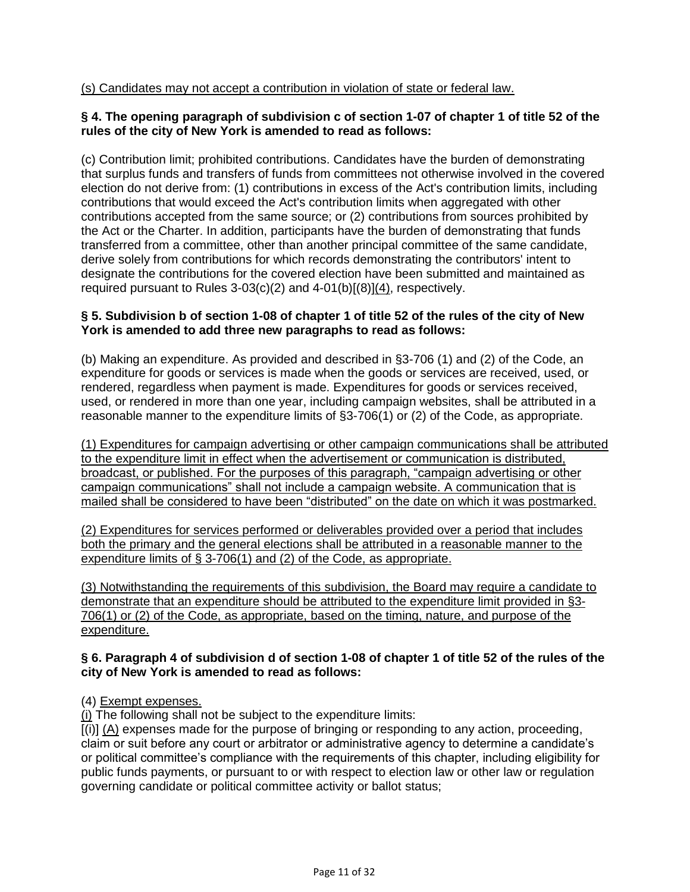(s) Candidates may not accept a contribution in violation of state or federal law.

### **§ 4. The opening paragraph of subdivision c of section 1-07 of chapter 1 of title 52 of the rules of the city of New York is amended to read as follows:**

(c) Contribution limit; prohibited contributions. Candidates have the burden of demonstrating that surplus funds and transfers of funds from committees not otherwise involved in the covered election do not derive from: (1) contributions in excess of the Act's contribution limits, including contributions that would exceed the Act's contribution limits when aggregated with other contributions accepted from the same source; or (2) contributions from sources prohibited by the Act or the Charter. In addition, participants have the burden of demonstrating that funds transferred from a committee, other than another principal committee of the same candidate, derive solely from contributions for which records demonstrating the contributors' intent to designate the contributions for the covered election have been submitted and maintained as required pursuant to Rules 3-03(c)(2) and 4-01(b)[(8)](4), respectively.

### **§ 5. Subdivision b of section 1-08 of chapter 1 of title 52 of the rules of the city of New York is amended to add three new paragraphs to read as follows:**

(b) Making an expenditure. As provided and described in §3-706 (1) and (2) of the Code, an expenditure for goods or services is made when the goods or services are received, used, or rendered, regardless when payment is made. Expenditures for goods or services received, used, or rendered in more than one year, including campaign websites, shall be attributed in a reasonable manner to the expenditure limits of §3-706(1) or (2) of the Code, as appropriate.

(1) Expenditures for campaign advertising or other campaign communications shall be attributed to the expenditure limit in effect when the advertisement or communication is distributed, broadcast, or published. For the purposes of this paragraph, "campaign advertising or other campaign communications" shall not include a campaign website. A communication that is mailed shall be considered to have been "distributed" on the date on which it was postmarked.

(2) Expenditures for services performed or deliverables provided over a period that includes both the primary and the general elections shall be attributed in a reasonable manner to the expenditure limits of § 3-706(1) and (2) of the Code, as appropriate.

(3) Notwithstanding the requirements of this subdivision, the Board may require a candidate to demonstrate that an expenditure should be attributed to the expenditure limit provided in §3- 706(1) or (2) of the Code, as appropriate, based on the timing, nature, and purpose of the expenditure.

### **§ 6. Paragraph 4 of subdivision d of section 1-08 of chapter 1 of title 52 of the rules of the city of New York is amended to read as follows:**

(4) Exempt expenses.

(i) The following shall not be subject to the expenditure limits:

[(i)] (A) expenses made for the purpose of bringing or responding to any action, proceeding, claim or suit before any court or arbitrator or administrative agency to determine a candidate's or political committee's compliance with the requirements of this chapter, including eligibility for public funds payments, or pursuant to or with respect to election law or other law or regulation governing candidate or political committee activity or ballot status;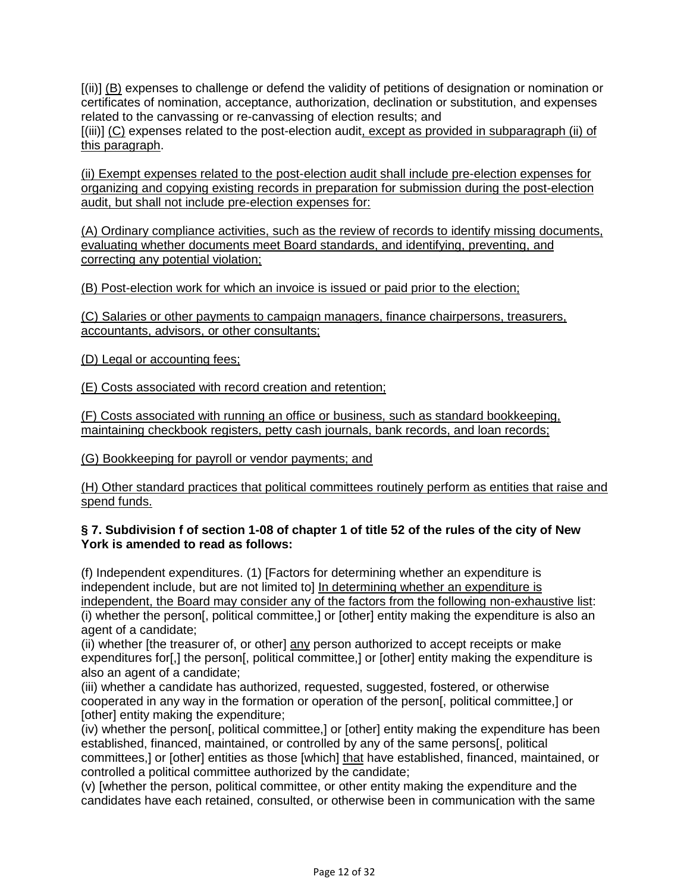[(ii)] (B) expenses to challenge or defend the validity of petitions of designation or nomination or certificates of nomination, acceptance, authorization, declination or substitution, and expenses related to the canvassing or re-canvassing of election results; and

[(iii)] (C) expenses related to the post-election audit, except as provided in subparagraph (ii) of this paragraph.

(ii) Exempt expenses related to the post-election audit shall include pre-election expenses for organizing and copying existing records in preparation for submission during the post-election audit, but shall not include pre-election expenses for:

(A) Ordinary compliance activities, such as the review of records to identify missing documents, evaluating whether documents meet Board standards, and identifying, preventing, and correcting any potential violation;

(B) Post-election work for which an invoice is issued or paid prior to the election;

(C) Salaries or other payments to campaign managers, finance chairpersons, treasurers, accountants, advisors, or other consultants;

(D) Legal or accounting fees;

(E) Costs associated with record creation and retention;

(F) Costs associated with running an office or business, such as standard bookkeeping, maintaining checkbook registers, petty cash journals, bank records, and loan records;

(G) Bookkeeping for payroll or vendor payments; and

(H) Other standard practices that political committees routinely perform as entities that raise and spend funds.

### **§ 7. Subdivision f of section 1-08 of chapter 1 of title 52 of the rules of the city of New York is amended to read as follows:**

(f) Independent expenditures. (1) [Factors for determining whether an expenditure is independent include, but are not limited to] In determining whether an expenditure is independent, the Board may consider any of the factors from the following non-exhaustive list: (i) whether the person[, political committee,] or [other] entity making the expenditure is also an

agent of a candidate;

(ii) whether [the treasurer of, or other] any person authorized to accept receipts or make expenditures for[,] the person[, political committee,] or [other] entity making the expenditure is also an agent of a candidate;

(iii) whether a candidate has authorized, requested, suggested, fostered, or otherwise cooperated in any way in the formation or operation of the person[, political committee,] or [other] entity making the expenditure;

(iv) whether the person[, political committee,] or [other] entity making the expenditure has been established, financed, maintained, or controlled by any of the same persons[, political committees,] or [other] entities as those [which] that have established, financed, maintained, or controlled a political committee authorized by the candidate;

(v) [whether the person, political committee, or other entity making the expenditure and the candidates have each retained, consulted, or otherwise been in communication with the same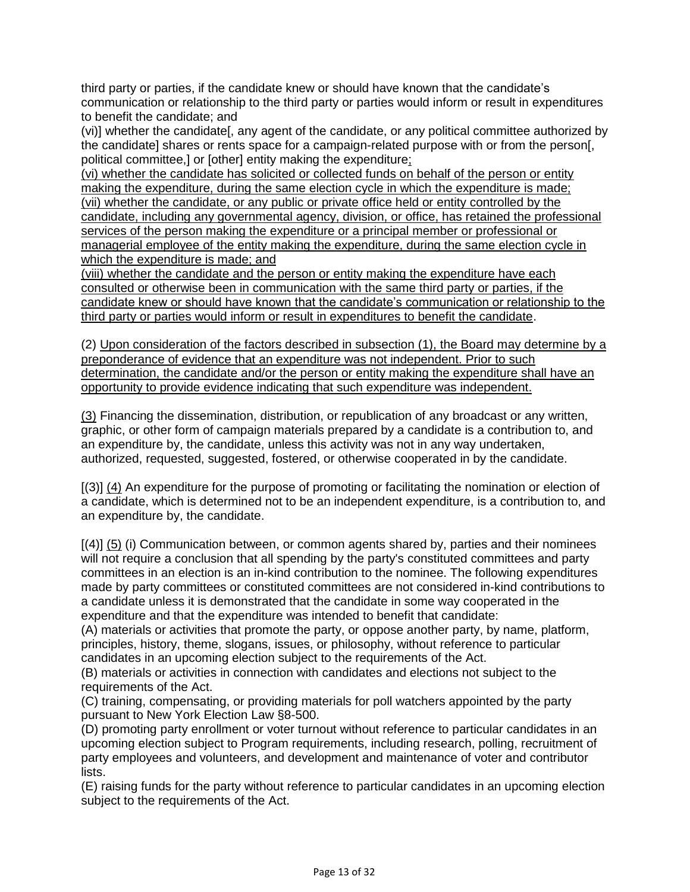third party or parties, if the candidate knew or should have known that the candidate's communication or relationship to the third party or parties would inform or result in expenditures to benefit the candidate; and

(vi)] whether the candidate[, any agent of the candidate, or any political committee authorized by the candidate] shares or rents space for a campaign-related purpose with or from the person[, political committee,] or [other] entity making the expenditure;

(vi) whether the candidate has solicited or collected funds on behalf of the person or entity making the expenditure, during the same election cycle in which the expenditure is made; (vii) whether the candidate, or any public or private office held or entity controlled by the candidate, including any governmental agency, division, or office, has retained the professional services of the person making the expenditure or a principal member or professional or managerial employee of the entity making the expenditure, during the same election cycle in which the expenditure is made; and

(viii) whether the candidate and the person or entity making the expenditure have each consulted or otherwise been in communication with the same third party or parties, if the candidate knew or should have known that the candidate's communication or relationship to the third party or parties would inform or result in expenditures to benefit the candidate.

(2) Upon consideration of the factors described in subsection (1), the Board may determine by a preponderance of evidence that an expenditure was not independent. Prior to such determination, the candidate and/or the person or entity making the expenditure shall have an opportunity to provide evidence indicating that such expenditure was independent.

(3) Financing the dissemination, distribution, or republication of any broadcast or any written, graphic, or other form of campaign materials prepared by a candidate is a contribution to, and an expenditure by, the candidate, unless this activity was not in any way undertaken, authorized, requested, suggested, fostered, or otherwise cooperated in by the candidate.

[(3)] (4) An expenditure for the purpose of promoting or facilitating the nomination or election of a candidate, which is determined not to be an independent expenditure, is a contribution to, and an expenditure by, the candidate.

[(4)] (5) (i) Communication between, or common agents shared by, parties and their nominees will not require a conclusion that all spending by the party's constituted committees and party committees in an election is an in-kind contribution to the nominee. The following expenditures made by party committees or constituted committees are not considered in-kind contributions to a candidate unless it is demonstrated that the candidate in some way cooperated in the expenditure and that the expenditure was intended to benefit that candidate:

(A) materials or activities that promote the party, or oppose another party, by name, platform, principles, history, theme, slogans, issues, or philosophy, without reference to particular candidates in an upcoming election subject to the requirements of the Act.

(B) materials or activities in connection with candidates and elections not subject to the requirements of the Act.

(C) training, compensating, or providing materials for poll watchers appointed by the party pursuant to New York Election Law §8-500.

(D) promoting party enrollment or voter turnout without reference to particular candidates in an upcoming election subject to Program requirements, including research, polling, recruitment of party employees and volunteers, and development and maintenance of voter and contributor lists.

(E) raising funds for the party without reference to particular candidates in an upcoming election subject to the requirements of the Act.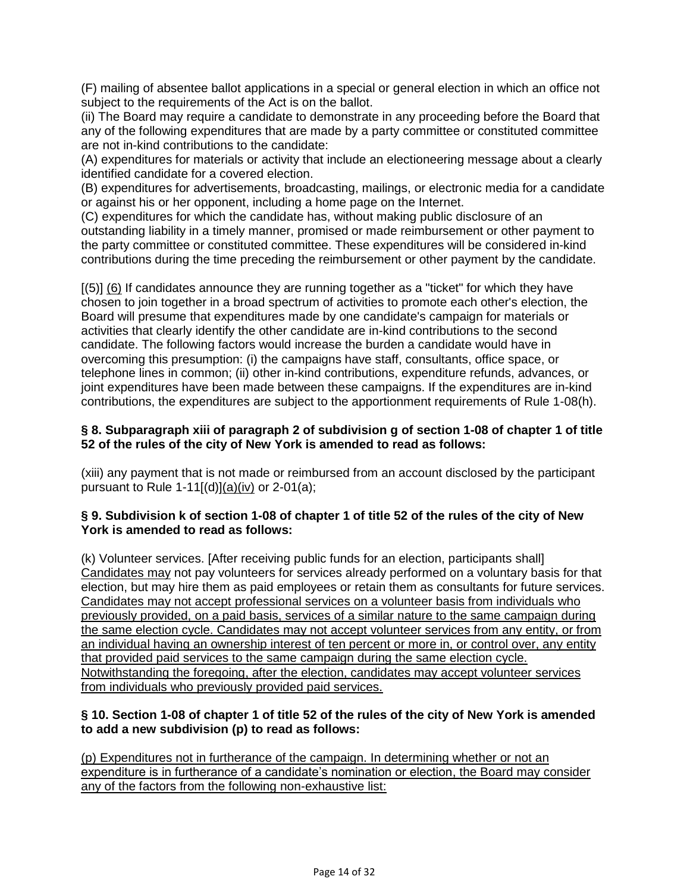(F) mailing of absentee ballot applications in a special or general election in which an office not subject to the requirements of the Act is on the ballot.

(ii) The Board may require a candidate to demonstrate in any proceeding before the Board that any of the following expenditures that are made by a party committee or constituted committee are not in-kind contributions to the candidate:

(A) expenditures for materials or activity that include an electioneering message about a clearly identified candidate for a covered election.

(B) expenditures for advertisements, broadcasting, mailings, or electronic media for a candidate or against his or her opponent, including a home page on the Internet.

(C) expenditures for which the candidate has, without making public disclosure of an outstanding liability in a timely manner, promised or made reimbursement or other payment to the party committee or constituted committee. These expenditures will be considered in-kind contributions during the time preceding the reimbursement or other payment by the candidate.

 $[(5)]$  (6) If candidates announce they are running together as a "ticket" for which they have chosen to join together in a broad spectrum of activities to promote each other's election, the Board will presume that expenditures made by one candidate's campaign for materials or activities that clearly identify the other candidate are in-kind contributions to the second candidate. The following factors would increase the burden a candidate would have in overcoming this presumption: (i) the campaigns have staff, consultants, office space, or telephone lines in common; (ii) other in-kind contributions, expenditure refunds, advances, or joint expenditures have been made between these campaigns. If the expenditures are in-kind contributions, the expenditures are subject to the apportionment requirements of Rule 1-08(h).

### **§ 8. Subparagraph xiii of paragraph 2 of subdivision g of section 1-08 of chapter 1 of title 52 of the rules of the city of New York is amended to read as follows:**

(xiii) any payment that is not made or reimbursed from an account disclosed by the participant pursuant to Rule  $1-11[(d)](a)(iv)$  or  $2-01(a)$ ;

### **§ 9. Subdivision k of section 1-08 of chapter 1 of title 52 of the rules of the city of New York is amended to read as follows:**

(k) Volunteer services. [After receiving public funds for an election, participants shall] Candidates may not pay volunteers for services already performed on a voluntary basis for that election, but may hire them as paid employees or retain them as consultants for future services. Candidates may not accept professional services on a volunteer basis from individuals who previously provided, on a paid basis, services of a similar nature to the same campaign during the same election cycle. Candidates may not accept volunteer services from any entity, or from an individual having an ownership interest of ten percent or more in, or control over, any entity that provided paid services to the same campaign during the same election cycle. Notwithstanding the foregoing, after the election, candidates may accept volunteer services from individuals who previously provided paid services.

### **§ 10. Section 1-08 of chapter 1 of title 52 of the rules of the city of New York is amended to add a new subdivision (p) to read as follows:**

(p) Expenditures not in furtherance of the campaign. In determining whether or not an expenditure is in furtherance of a candidate's nomination or election, the Board may consider any of the factors from the following non-exhaustive list: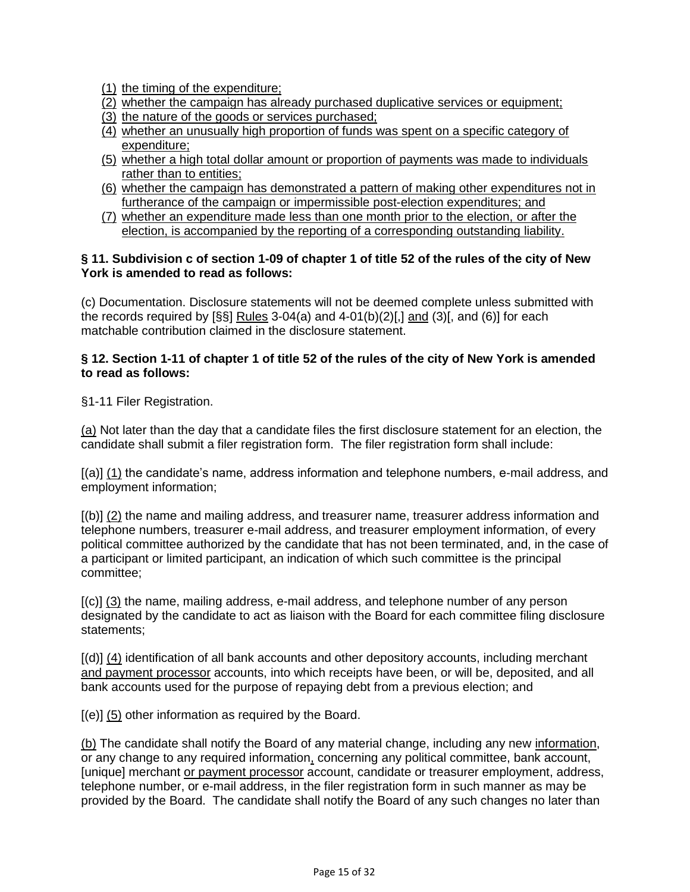- (1) the timing of the expenditure;
- (2) whether the campaign has already purchased duplicative services or equipment;
- (3) the nature of the goods or services purchased;
- $\overline{(4)}$  whether an unusually high proportion of funds was spent on a specific category of expenditure;
- (5) whether a high total dollar amount or proportion of payments was made to individuals rather than to entities;
- (6) whether the campaign has demonstrated a pattern of making other expenditures not in furtherance of the campaign or impermissible post-election expenditures; and
- (7) whether an expenditure made less than one month prior to the election, or after the election, is accompanied by the reporting of a corresponding outstanding liability.

### **§ 11. Subdivision c of section 1-09 of chapter 1 of title 52 of the rules of the city of New York is amended to read as follows:**

(c) Documentation. Disclosure statements will not be deemed complete unless submitted with the records required by  $\{\S\}$  Rules 3-04(a) and 4-01(b)(2)[,] and (3)[, and (6)] for each matchable contribution claimed in the disclosure statement.

### **§ 12. Section 1-11 of chapter 1 of title 52 of the rules of the city of New York is amended to read as follows:**

§1-11 Filer Registration.

(a) Not later than the day that a candidate files the first disclosure statement for an election, the candidate shall submit a filer registration form. The filer registration form shall include:

[(a)] (1) the candidate's name, address information and telephone numbers, e-mail address, and employment information;

[(b)] (2) the name and mailing address, and treasurer name, treasurer address information and telephone numbers, treasurer e-mail address, and treasurer employment information, of every political committee authorized by the candidate that has not been terminated, and, in the case of a participant or limited participant, an indication of which such committee is the principal committee;

[(c)] (3) the name, mailing address, e-mail address, and telephone number of any person designated by the candidate to act as liaison with the Board for each committee filing disclosure statements;

[(d)] (4) identification of all bank accounts and other depository accounts, including merchant and payment processor accounts, into which receipts have been, or will be, deposited, and all bank accounts used for the purpose of repaying debt from a previous election; and

 $[(e)]$  (5) other information as required by the Board.

(b) The candidate shall notify the Board of any material change, including any new information, or any change to any required information, concerning any political committee, bank account, [unique] merchant or payment processor account, candidate or treasurer employment, address, telephone number, or e-mail address, in the filer registration form in such manner as may be provided by the Board. The candidate shall notify the Board of any such changes no later than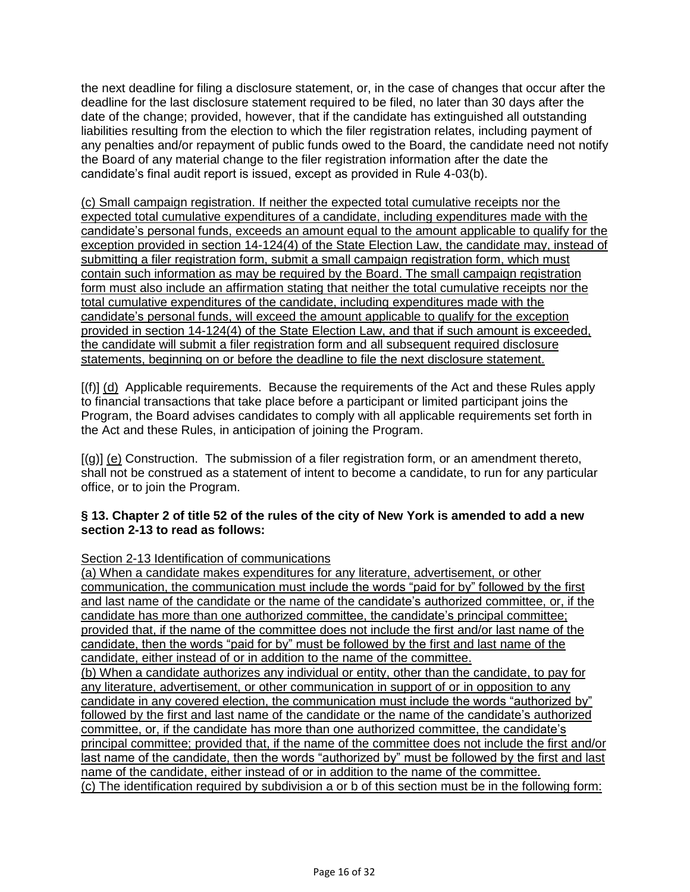the next deadline for filing a disclosure statement, or, in the case of changes that occur after the deadline for the last disclosure statement required to be filed, no later than 30 days after the date of the change; provided, however, that if the candidate has extinguished all outstanding liabilities resulting from the election to which the filer registration relates, including payment of any penalties and/or repayment of public funds owed to the Board, the candidate need not notify the Board of any material change to the filer registration information after the date the candidate's final audit report is issued, except as provided in Rule 4-03(b).

(c) Small campaign registration. If neither the expected total cumulative receipts nor the expected total cumulative expenditures of a candidate, including expenditures made with the candidate's personal funds, exceeds an amount equal to the amount applicable to qualify for the exception provided in section 14-124(4) of the State Election Law, the candidate may, instead of submitting a filer registration form, submit a small campaign registration form, which must contain such information as may be required by the Board. The small campaign registration form must also include an affirmation stating that neither the total cumulative receipts nor the total cumulative expenditures of the candidate, including expenditures made with the candidate's personal funds, will exceed the amount applicable to qualify for the exception provided in section 14-124(4) of the State Election Law, and that if such amount is exceeded, the candidate will submit a filer registration form and all subsequent required disclosure statements, beginning on or before the deadline to file the next disclosure statement.

[(f)] (d) Applicable requirements. Because the requirements of the Act and these Rules apply to financial transactions that take place before a participant or limited participant joins the Program, the Board advises candidates to comply with all applicable requirements set forth in the Act and these Rules, in anticipation of joining the Program.

[(g)] (e) Construction. The submission of a filer registration form, or an amendment thereto, shall not be construed as a statement of intent to become a candidate, to run for any particular office, or to join the Program.

### **§ 13. Chapter 2 of title 52 of the rules of the city of New York is amended to add a new section 2-13 to read as follows:**

# Section 2-13 Identification of communications

(a) When a candidate makes expenditures for any literature, advertisement, or other communication, the communication must include the words "paid for by" followed by the first and last name of the candidate or the name of the candidate's authorized committee, or, if the candidate has more than one authorized committee, the candidate's principal committee; provided that, if the name of the committee does not include the first and/or last name of the candidate, then the words "paid for by" must be followed by the first and last name of the candidate, either instead of or in addition to the name of the committee. (b) When a candidate authorizes any individual or entity, other than the candidate, to pay for any literature, advertisement, or other communication in support of or in opposition to any candidate in any covered election, the communication must include the words "authorized by" followed by the first and last name of the candidate or the name of the candidate's authorized committee, or, if the candidate has more than one authorized committee, the candidate's principal committee; provided that, if the name of the committee does not include the first and/or last name of the candidate, then the words "authorized by" must be followed by the first and last name of the candidate, either instead of or in addition to the name of the committee. (c) The identification required by subdivision a or b of this section must be in the following form: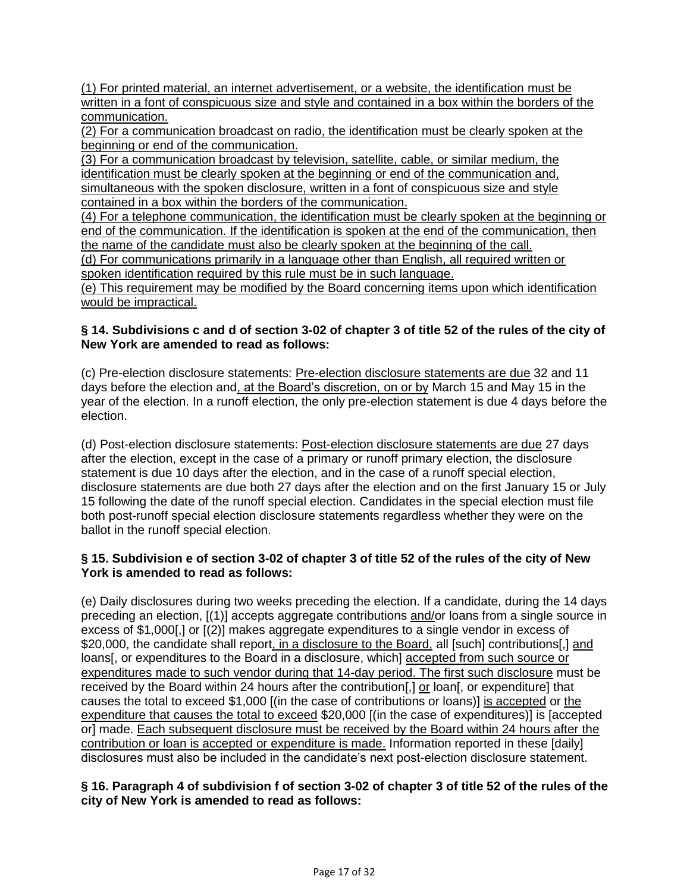(1) For printed material, an internet advertisement, or a website, the identification must be written in a font of conspicuous size and style and contained in a box within the borders of the communication.

(2) For a communication broadcast on radio, the identification must be clearly spoken at the beginning or end of the communication.

(3) For a communication broadcast by television, satellite, cable, or similar medium, the identification must be clearly spoken at the beginning or end of the communication and, simultaneous with the spoken disclosure, written in a font of conspicuous size and style contained in a box within the borders of the communication.

(4) For a telephone communication, the identification must be clearly spoken at the beginning or end of the communication. If the identification is spoken at the end of the communication, then the name of the candidate must also be clearly spoken at the beginning of the call.

(d) For communications primarily in a language other than English, all required written or spoken identification required by this rule must be in such language.

(e) This requirement may be modified by the Board concerning items upon which identification would be impractical.

## **§ 14. Subdivisions c and d of section 3-02 of chapter 3 of title 52 of the rules of the city of New York are amended to read as follows:**

(c) Pre-election disclosure statements: Pre-election disclosure statements are due 32 and 11 days before the election and, at the Board's discretion, on or by March 15 and May 15 in the year of the election. In a runoff election, the only pre-election statement is due 4 days before the election.

(d) Post-election disclosure statements: Post-election disclosure statements are due 27 days after the election, except in the case of a primary or runoff primary election, the disclosure statement is due 10 days after the election, and in the case of a runoff special election, disclosure statements are due both 27 days after the election and on the first January 15 or July 15 following the date of the runoff special election. Candidates in the special election must file both post-runoff special election disclosure statements regardless whether they were on the ballot in the runoff special election.

# **§ 15. Subdivision e of section 3-02 of chapter 3 of title 52 of the rules of the city of New York is amended to read as follows:**

(e) Daily disclosures during two weeks preceding the election. If a candidate, during the 14 days preceding an election, [(1)] accepts aggregate contributions and/or loans from a single source in excess of \$1,000[,] or [(2)] makes aggregate expenditures to a single vendor in excess of \$20,000, the candidate shall report, in a disclosure to the Board, all [such] contributions[,] and loans[, or expenditures to the Board in a disclosure, which] accepted from such source or expenditures made to such vendor during that 14-day period. The first such disclosure must be received by the Board within 24 hours after the contribution[,] or loan[, or expenditure] that causes the total to exceed \$1,000 [(in the case of contributions or loans)] is accepted or the expenditure that causes the total to exceed \$20,000 [(in the case of expenditures)] is [accepted or] made. Each subsequent disclosure must be received by the Board within 24 hours after the contribution or loan is accepted or expenditure is made. Information reported in these [daily] disclosures must also be included in the candidate's next post-election disclosure statement.

### **§ 16. Paragraph 4 of subdivision f of section 3-02 of chapter 3 of title 52 of the rules of the city of New York is amended to read as follows:**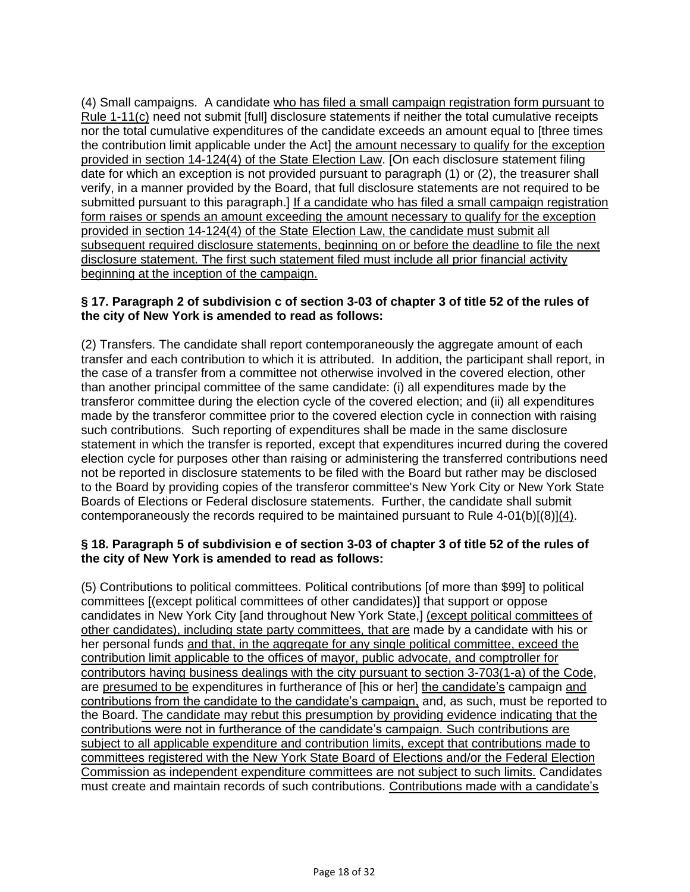(4) Small campaigns. A candidate who has filed a small campaign registration form pursuant to Rule 1-11(c) need not submit [full] disclosure statements if neither the total cumulative receipts nor the total cumulative expenditures of the candidate exceeds an amount equal to [three times the contribution limit applicable under the Act] the amount necessary to qualify for the exception provided in section 14-124(4) of the State Election Law. [On each disclosure statement filing date for which an exception is not provided pursuant to paragraph (1) or (2), the treasurer shall verify, in a manner provided by the Board, that full disclosure statements are not required to be submitted pursuant to this paragraph.] If a candidate who has filed a small campaign registration form raises or spends an amount exceeding the amount necessary to qualify for the exception provided in section 14-124(4) of the State Election Law, the candidate must submit all subsequent required disclosure statements, beginning on or before the deadline to file the next disclosure statement. The first such statement filed must include all prior financial activity beginning at the inception of the campaign.

## **§ 17. Paragraph 2 of subdivision c of section 3-03 of chapter 3 of title 52 of the rules of the city of New York is amended to read as follows:**

(2) Transfers. The candidate shall report contemporaneously the aggregate amount of each transfer and each contribution to which it is attributed. In addition, the participant shall report, in the case of a transfer from a committee not otherwise involved in the covered election, other than another principal committee of the same candidate: (i) all expenditures made by the transferor committee during the election cycle of the covered election; and (ii) all expenditures made by the transferor committee prior to the covered election cycle in connection with raising such contributions. Such reporting of expenditures shall be made in the same disclosure statement in which the transfer is reported, except that expenditures incurred during the covered election cycle for purposes other than raising or administering the transferred contributions need not be reported in disclosure statements to be filed with the Board but rather may be disclosed to the Board by providing copies of the transferor committee's New York City or New York State Boards of Elections or Federal disclosure statements. Further, the candidate shall submit contemporaneously the records required to be maintained pursuant to Rule  $4-01(b)[(8)](4)$ .

### **§ 18. Paragraph 5 of subdivision e of section 3-03 of chapter 3 of title 52 of the rules of the city of New York is amended to read as follows:**

(5) Contributions to political committees. Political contributions [of more than \$99] to political committees [(except political committees of other candidates)] that support or oppose candidates in New York City [and throughout New York State,] (except political committees of other candidates), including state party committees, that are made by a candidate with his or her personal funds and that, in the aggregate for any single political committee, exceed the contribution limit applicable to the offices of mayor, public advocate, and comptroller for contributors having business dealings with the city pursuant to section 3-703(1-a) of the Code, are presumed to be expenditures in furtherance of [his or her] the candidate's campaign and contributions from the candidate to the candidate's campaign, and, as such, must be reported to the Board. The candidate may rebut this presumption by providing evidence indicating that the contributions were not in furtherance of the candidate's campaign. Such contributions are subject to all applicable expenditure and contribution limits, except that contributions made to committees registered with the New York State Board of Elections and/or the Federal Election Commission as independent expenditure committees are not subject to such limits. Candidates must create and maintain records of such contributions. Contributions made with a candidate's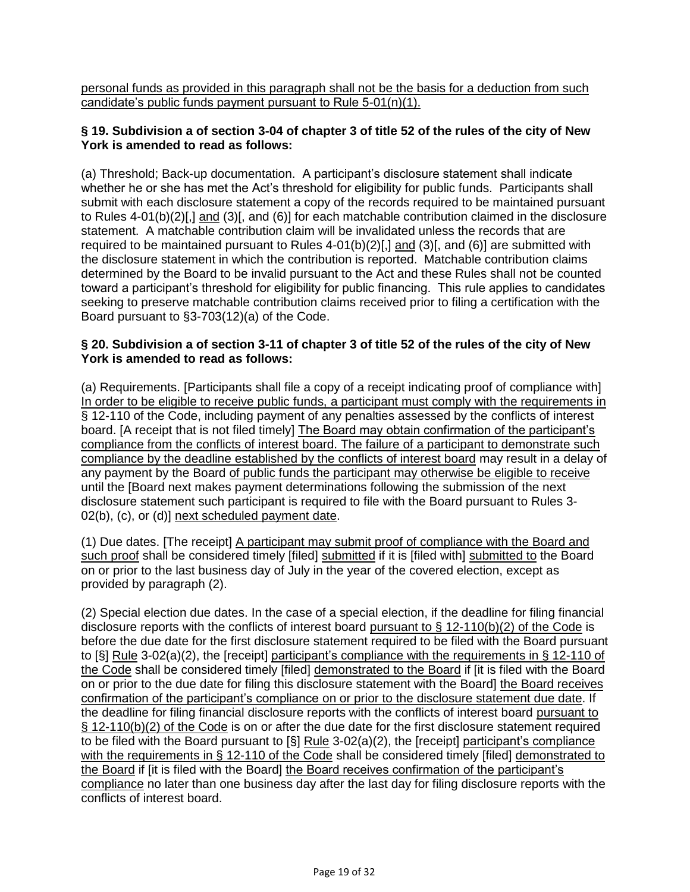personal funds as provided in this paragraph shall not be the basis for a deduction from such candidate's public funds payment pursuant to Rule 5-01(n)(1).

### **§ 19. Subdivision a of section 3-04 of chapter 3 of title 52 of the rules of the city of New York is amended to read as follows:**

(a) Threshold; Back-up documentation. A participant's disclosure statement shall indicate whether he or she has met the Act's threshold for eligibility for public funds. Participants shall submit with each disclosure statement a copy of the records required to be maintained pursuant to Rules 4-01(b)(2)[,] and (3)[, and (6)] for each matchable contribution claimed in the disclosure statement. A matchable contribution claim will be invalidated unless the records that are required to be maintained pursuant to Rules  $4-01(b)(2)[,]$  and  $(3)[,$  and  $(6)]$  are submitted with the disclosure statement in which the contribution is reported. Matchable contribution claims determined by the Board to be invalid pursuant to the Act and these Rules shall not be counted toward a participant's threshold for eligibility for public financing. This rule applies to candidates seeking to preserve matchable contribution claims received prior to filing a certification with the Board pursuant to §3-703(12)(a) of the Code.

### **§ 20. Subdivision a of section 3-11 of chapter 3 of title 52 of the rules of the city of New York is amended to read as follows:**

(a) Requirements. [Participants shall file a copy of a receipt indicating proof of compliance with] In order to be eligible to receive public funds, a participant must comply with the requirements in § 12-110 of the Code, including payment of any penalties assessed by the conflicts of interest board. [A receipt that is not filed timely] The Board may obtain confirmation of the participant's compliance from the conflicts of interest board. The failure of a participant to demonstrate such compliance by the deadline established by the conflicts of interest board may result in a delay of any payment by the Board of public funds the participant may otherwise be eligible to receive until the [Board next makes payment determinations following the submission of the next disclosure statement such participant is required to file with the Board pursuant to Rules 3- 02(b), (c), or (d)] next scheduled payment date.

(1) Due dates. [The receipt] A participant may submit proof of compliance with the Board and such proof shall be considered timely [filed] submitted if it is [filed with] submitted to the Board on or prior to the last business day of July in the year of the covered election, except as provided by paragraph (2).

(2) Special election due dates. In the case of a special election, if the deadline for filing financial disclosure reports with the conflicts of interest board pursuant to § 12-110(b)(2) of the Code is before the due date for the first disclosure statement required to be filed with the Board pursuant to [§] Rule 3-02(a)(2), the [receipt] participant's compliance with the requirements in § 12-110 of the Code shall be considered timely [filed] demonstrated to the Board if [it is filed with the Board on or prior to the due date for filing this disclosure statement with the Board] the Board receives confirmation of the participant's compliance on or prior to the disclosure statement due date. If the deadline for filing financial disclosure reports with the conflicts of interest board pursuant to § 12-110(b)(2) of the Code is on or after the due date for the first disclosure statement required to be filed with the Board pursuant to  $[\S]$  Rule 3-02(a)(2), the [receipt] participant's compliance with the requirements in § 12-110 of the Code shall be considered timely [filed] demonstrated to the Board if [it is filed with the Board] the Board receives confirmation of the participant's compliance no later than one business day after the last day for filing disclosure reports with the conflicts of interest board.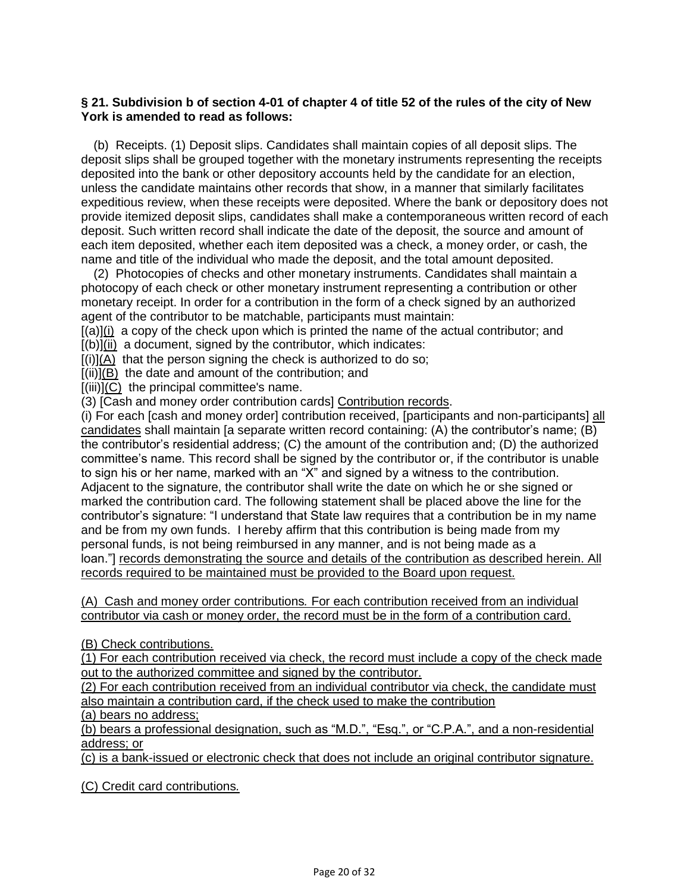### **§ 21. Subdivision b of section 4-01 of chapter 4 of title 52 of the rules of the city of New York is amended to read as follows:**

(b) Receipts. (1) Deposit slips. Candidates shall maintain copies of all deposit slips. The deposit slips shall be grouped together with the monetary instruments representing the receipts deposited into the bank or other depository accounts held by the candidate for an election, unless the candidate maintains other records that show, in a manner that similarly facilitates expeditious review, when these receipts were deposited. Where the bank or depository does not provide itemized deposit slips, candidates shall make a contemporaneous written record of each deposit. Such written record shall indicate the date of the deposit, the source and amount of each item deposited, whether each item deposited was a check, a money order, or cash, the name and title of the individual who made the deposit, and the total amount deposited.

(2) Photocopies of checks and other monetary instruments. Candidates shall maintain a photocopy of each check or other monetary instrument representing a contribution or other monetary receipt. In order for a contribution in the form of a check signed by an authorized agent of the contributor to be matchable, participants must maintain:

 $[(a)](i)$  a copy of the check upon which is printed the name of the actual contributor; and

 $[(b)]$ (ii) a document, signed by the contributor, which indicates:

 $[(i)](A)$  that the person signing the check is authorized to do so;

[(ii)](B) the date and amount of the contribution; and

[(iii)](C) the principal committee's name.

(3) [Cash and money order contribution cards] Contribution records.

(i) For each [cash and money order] contribution received, [participants and non-participants] all candidates shall maintain [a separate written record containing: (A) the contributor's name; (B) the contributor's residential address; (C) the amount of the contribution and; (D) the authorized committee's name. This record shall be signed by the contributor or, if the contributor is unable to sign his or her name, marked with an "X" and signed by a witness to the contribution. Adjacent to the signature, the contributor shall write the date on which he or she signed or marked the contribution card. The following statement shall be placed above the line for the contributor's signature: "I understand that State law requires that a contribution be in my name and be from my own funds. I hereby affirm that this contribution is being made from my personal funds, is not being reimbursed in any manner, and is not being made as a loan."] records demonstrating the source and details of the contribution as described herein. All records required to be maintained must be provided to the Board upon request.

(A) Cash and money order contributions*.* For each contribution received from an individual contributor via cash or money order, the record must be in the form of a contribution card.

(B) Check contributions.

(1) For each contribution received via check, the record must include a copy of the check made out to the authorized committee and signed by the contributor.

(2) For each contribution received from an individual contributor via check, the candidate must also maintain a contribution card, if the check used to make the contribution

(a) bears no address;

(b) bears a professional designation, such as "M.D.", "Esq.", or "C.P.A.", and a non-residential address; or

(c) is a bank-issued or electronic check that does not include an original contributor signature.

(C) Credit card contributions*.*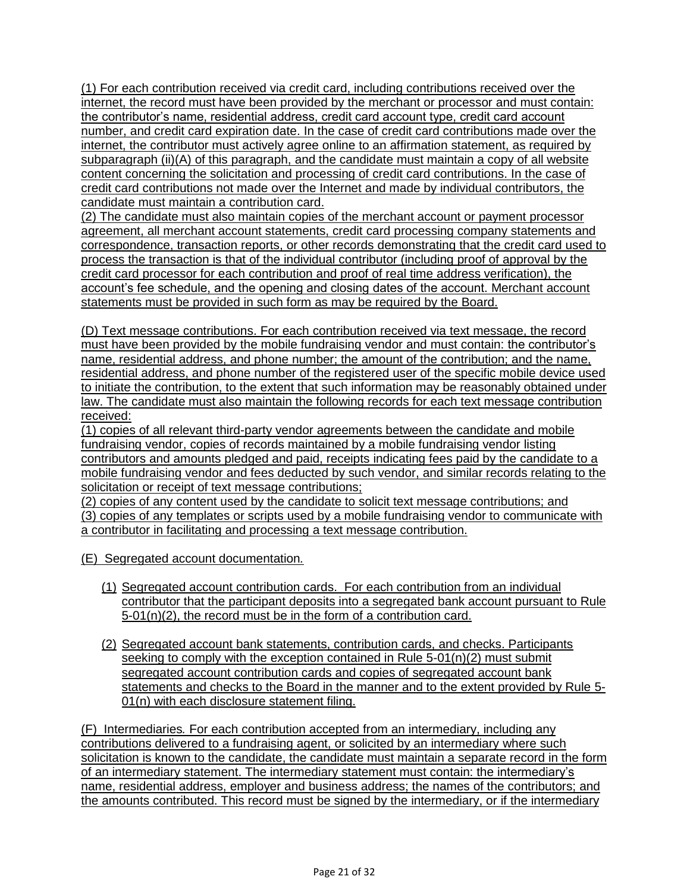(1) For each contribution received via credit card, including contributions received over the internet, the record must have been provided by the merchant or processor and must contain: the contributor's name, residential address, credit card account type, credit card account number, and credit card expiration date. In the case of credit card contributions made over the internet, the contributor must actively agree online to an affirmation statement, as required by subparagraph (ii)(A) of this paragraph, and the candidate must maintain a copy of all website content concerning the solicitation and processing of credit card contributions. In the case of credit card contributions not made over the Internet and made by individual contributors, the candidate must maintain a contribution card.

(2) The candidate must also maintain copies of the merchant account or payment processor agreement, all merchant account statements, credit card processing company statements and correspondence, transaction reports, or other records demonstrating that the credit card used to process the transaction is that of the individual contributor (including proof of approval by the credit card processor for each contribution and proof of real time address verification), the account's fee schedule, and the opening and closing dates of the account. Merchant account statements must be provided in such form as may be required by the Board.

(D) Text message contributions. For each contribution received via text message, the record must have been provided by the mobile fundraising vendor and must contain: the contributor's name, residential address, and phone number; the amount of the contribution; and the name, residential address, and phone number of the registered user of the specific mobile device used to initiate the contribution, to the extent that such information may be reasonably obtained under law. The candidate must also maintain the following records for each text message contribution received:

(1) copies of all relevant third-party vendor agreements between the candidate and mobile fundraising vendor, copies of records maintained by a mobile fundraising vendor listing contributors and amounts pledged and paid, receipts indicating fees paid by the candidate to a mobile fundraising vendor and fees deducted by such vendor, and similar records relating to the solicitation or receipt of text message contributions;

(2) copies of any content used by the candidate to solicit text message contributions; and (3) copies of any templates or scripts used by a mobile fundraising vendor to communicate with a contributor in facilitating and processing a text message contribution.

(E) Segregated account documentation*.*

- (1) Segregated account contribution cards. For each contribution from an individual contributor that the participant deposits into a segregated bank account pursuant to Rule 5-01(n)(2), the record must be in the form of a contribution card.
- (2) Segregated account bank statements, contribution cards, and checks. Participants seeking to comply with the exception contained in Rule  $5-01(n)(2)$  must submit segregated account contribution cards and copies of segregated account bank statements and checks to the Board in the manner and to the extent provided by Rule 5- 01(n) with each disclosure statement filing.

(F) Intermediaries*.* For each contribution accepted from an intermediary, including any contributions delivered to a fundraising agent, or solicited by an intermediary where such solicitation is known to the candidate, the candidate must maintain a separate record in the form of an intermediary statement. The intermediary statement must contain: the intermediary's name, residential address, employer and business address; the names of the contributors; and the amounts contributed. This record must be signed by the intermediary, or if the intermediary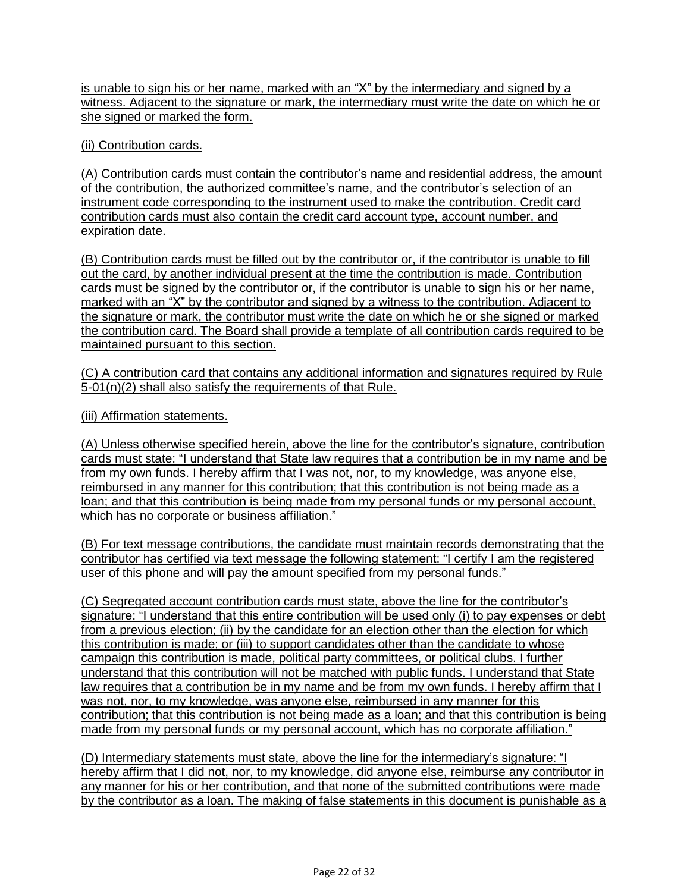is unable to sign his or her name, marked with an "X" by the intermediary and signed by a witness. Adjacent to the signature or mark, the intermediary must write the date on which he or she signed or marked the form.

## (ii) Contribution cards.

(A) Contribution cards must contain the contributor's name and residential address, the amount of the contribution, the authorized committee's name, and the contributor's selection of an instrument code corresponding to the instrument used to make the contribution. Credit card contribution cards must also contain the credit card account type, account number, and expiration date.

(B) Contribution cards must be filled out by the contributor or, if the contributor is unable to fill out the card, by another individual present at the time the contribution is made. Contribution cards must be signed by the contributor or, if the contributor is unable to sign his or her name, marked with an "X" by the contributor and signed by a witness to the contribution. Adjacent to the signature or mark, the contributor must write the date on which he or she signed or marked the contribution card. The Board shall provide a template of all contribution cards required to be maintained pursuant to this section.

(C) A contribution card that contains any additional information and signatures required by Rule 5-01(n)(2) shall also satisfy the requirements of that Rule.

(iii) Affirmation statements.

(A) Unless otherwise specified herein, above the line for the contributor's signature, contribution cards must state: "I understand that State law requires that a contribution be in my name and be from my own funds. I hereby affirm that I was not, nor, to my knowledge, was anyone else, reimbursed in any manner for this contribution; that this contribution is not being made as a loan; and that this contribution is being made from my personal funds or my personal account, which has no corporate or business affiliation."

(B) For text message contributions, the candidate must maintain records demonstrating that the contributor has certified via text message the following statement: "I certify I am the registered user of this phone and will pay the amount specified from my personal funds."

(C) Segregated account contribution cards must state, above the line for the contributor's signature: "I understand that this entire contribution will be used only (i) to pay expenses or debt from a previous election; (ii) by the candidate for an election other than the election for which this contribution is made; or (iii) to support candidates other than the candidate to whose campaign this contribution is made, political party committees, or political clubs. I further understand that this contribution will not be matched with public funds. I understand that State law requires that a contribution be in my name and be from my own funds. I hereby affirm that I was not, nor, to my knowledge, was anyone else, reimbursed in any manner for this contribution; that this contribution is not being made as a loan; and that this contribution is being made from my personal funds or my personal account, which has no corporate affiliation."

(D) Intermediary statements must state, above the line for the intermediary's signature: "I hereby affirm that I did not, nor, to my knowledge, did anyone else, reimburse any contributor in any manner for his or her contribution, and that none of the submitted contributions were made by the contributor as a loan. The making of false statements in this document is punishable as a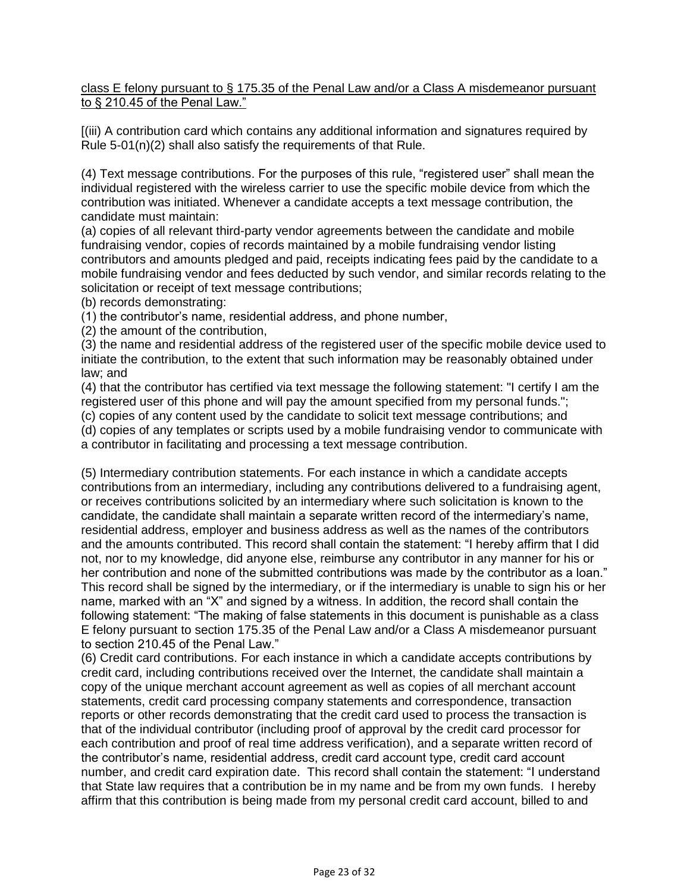#### class E felony pursuant to § 175.35 of the Penal Law and/or a Class A misdemeanor pursuant to § 210.45 of the Penal Law."

[(iii) A contribution card which contains any additional information and signatures required by Rule 5-01(n)(2) shall also satisfy the requirements of that Rule.

(4) Text message contributions. For the purposes of this rule, "registered user" shall mean the individual registered with the wireless carrier to use the specific mobile device from which the contribution was initiated. Whenever a candidate accepts a text message contribution, the candidate must maintain:

(a) copies of all relevant third-party vendor agreements between the candidate and mobile fundraising vendor, copies of records maintained by a mobile fundraising vendor listing contributors and amounts pledged and paid, receipts indicating fees paid by the candidate to a mobile fundraising vendor and fees deducted by such vendor, and similar records relating to the solicitation or receipt of text message contributions;

(b) records demonstrating:

(1) the contributor's name, residential address, and phone number,

(2) the amount of the contribution,

(3) the name and residential address of the registered user of the specific mobile device used to initiate the contribution, to the extent that such information may be reasonably obtained under law; and

(4) that the contributor has certified via text message the following statement: "I certify I am the registered user of this phone and will pay the amount specified from my personal funds."; (c) copies of any content used by the candidate to solicit text message contributions; and (d) copies of any templates or scripts used by a mobile fundraising vendor to communicate with a contributor in facilitating and processing a text message contribution.

(5) Intermediary contribution statements. For each instance in which a candidate accepts contributions from an intermediary, including any contributions delivered to a fundraising agent, or receives contributions solicited by an intermediary where such solicitation is known to the candidate, the candidate shall maintain a separate written record of the intermediary's name, residential address, employer and business address as well as the names of the contributors and the amounts contributed. This record shall contain the statement: "I hereby affirm that I did not, nor to my knowledge, did anyone else, reimburse any contributor in any manner for his or her contribution and none of the submitted contributions was made by the contributor as a loan." This record shall be signed by the intermediary, or if the intermediary is unable to sign his or her name, marked with an "X" and signed by a witness. In addition, the record shall contain the following statement: "The making of false statements in this document is punishable as a class E felony pursuant to section 175.35 of the Penal Law and/or a Class A misdemeanor pursuant to section 210.45 of the Penal Law."

(6) Credit card contributions. For each instance in which a candidate accepts contributions by credit card, including contributions received over the Internet, the candidate shall maintain a copy of the unique merchant account agreement as well as copies of all merchant account statements, credit card processing company statements and correspondence, transaction reports or other records demonstrating that the credit card used to process the transaction is that of the individual contributor (including proof of approval by the credit card processor for each contribution and proof of real time address verification), and a separate written record of the contributor's name, residential address, credit card account type, credit card account number, and credit card expiration date. This record shall contain the statement: "I understand that State law requires that a contribution be in my name and be from my own funds. I hereby affirm that this contribution is being made from my personal credit card account, billed to and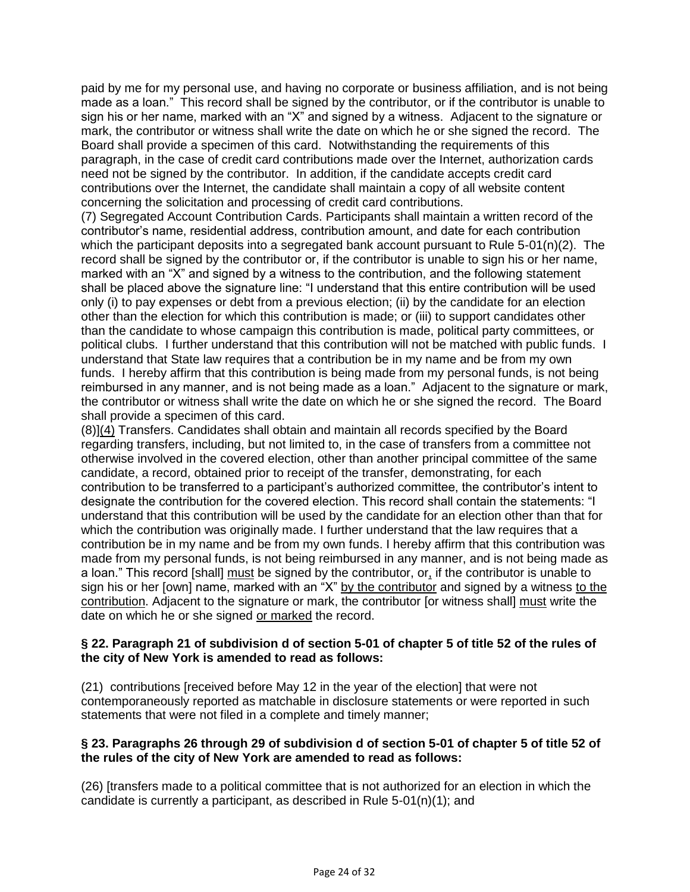paid by me for my personal use, and having no corporate or business affiliation, and is not being made as a loan." This record shall be signed by the contributor, or if the contributor is unable to sign his or her name, marked with an "X" and signed by a witness. Adjacent to the signature or mark, the contributor or witness shall write the date on which he or she signed the record. The Board shall provide a specimen of this card. Notwithstanding the requirements of this paragraph, in the case of credit card contributions made over the Internet, authorization cards need not be signed by the contributor. In addition, if the candidate accepts credit card contributions over the Internet, the candidate shall maintain a copy of all website content concerning the solicitation and processing of credit card contributions.

(7) Segregated Account Contribution Cards. Participants shall maintain a written record of the contributor's name, residential address, contribution amount, and date for each contribution which the participant deposits into a segregated bank account pursuant to Rule 5-01(n)(2). The record shall be signed by the contributor or, if the contributor is unable to sign his or her name, marked with an "X" and signed by a witness to the contribution, and the following statement shall be placed above the signature line: "I understand that this entire contribution will be used only (i) to pay expenses or debt from a previous election; (ii) by the candidate for an election other than the election for which this contribution is made; or (iii) to support candidates other than the candidate to whose campaign this contribution is made, political party committees, or political clubs. I further understand that this contribution will not be matched with public funds. I understand that State law requires that a contribution be in my name and be from my own funds. I hereby affirm that this contribution is being made from my personal funds, is not being reimbursed in any manner, and is not being made as a loan." Adjacent to the signature or mark, the contributor or witness shall write the date on which he or she signed the record. The Board shall provide a specimen of this card.

(8)](4) Transfers. Candidates shall obtain and maintain all records specified by the Board regarding transfers, including, but not limited to, in the case of transfers from a committee not otherwise involved in the covered election, other than another principal committee of the same candidate, a record, obtained prior to receipt of the transfer, demonstrating, for each contribution to be transferred to a participant's authorized committee, the contributor's intent to designate the contribution for the covered election. This record shall contain the statements: "I understand that this contribution will be used by the candidate for an election other than that for which the contribution was originally made. I further understand that the law requires that a contribution be in my name and be from my own funds. I hereby affirm that this contribution was made from my personal funds, is not being reimbursed in any manner, and is not being made as a loan." This record [shall] must be signed by the contributor, or, if the contributor is unable to sign his or her [own] name, marked with an "X" by the contributor and signed by a witness to the contribution. Adjacent to the signature or mark, the contributor [or witness shall] must write the date on which he or she signed or marked the record.

### **§ 22. Paragraph 21 of subdivision d of section 5-01 of chapter 5 of title 52 of the rules of the city of New York is amended to read as follows:**

(21) contributions [received before May 12 in the year of the election] that were not contemporaneously reported as matchable in disclosure statements or were reported in such statements that were not filed in a complete and timely manner;

### **§ 23. Paragraphs 26 through 29 of subdivision d of section 5-01 of chapter 5 of title 52 of the rules of the city of New York are amended to read as follows:**

(26) [transfers made to a political committee that is not authorized for an election in which the candidate is currently a participant, as described in Rule 5-01(n)(1); and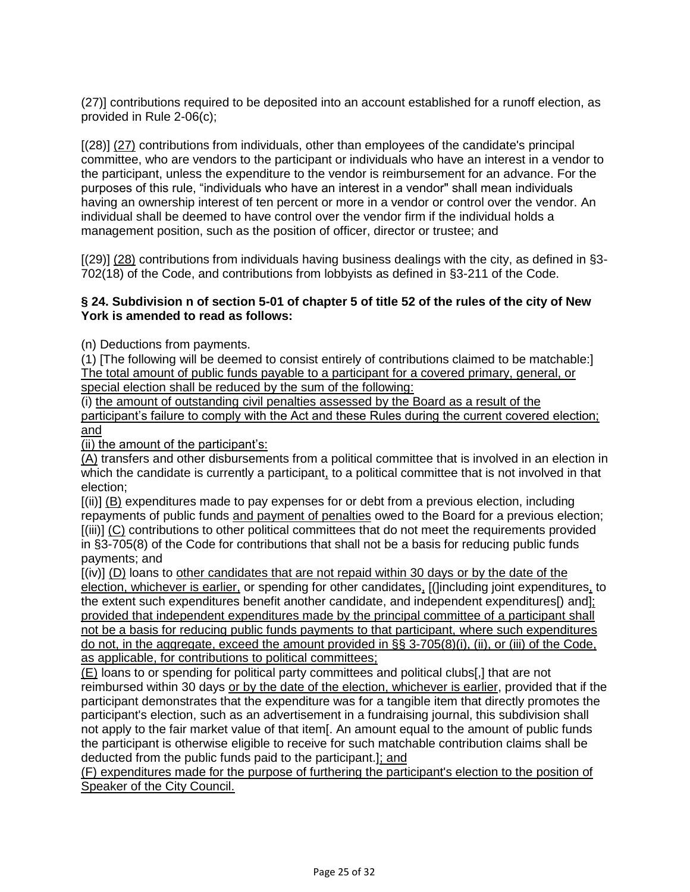(27)] contributions required to be deposited into an account established for a runoff election, as provided in Rule 2-06(c);

[(28)] (27) contributions from individuals, other than employees of the candidate's principal committee, who are vendors to the participant or individuals who have an interest in a vendor to the participant, unless the expenditure to the vendor is reimbursement for an advance. For the purposes of this rule, "individuals who have an interest in a vendor" shall mean individuals having an ownership interest of ten percent or more in a vendor or control over the vendor. An individual shall be deemed to have control over the vendor firm if the individual holds a management position, such as the position of officer, director or trustee; and

[(29)] (28) contributions from individuals having business dealings with the city, as defined in §3-702(18) of the Code, and contributions from lobbyists as defined in §3-211 of the Code.

### **§ 24. Subdivision n of section 5-01 of chapter 5 of title 52 of the rules of the city of New York is amended to read as follows:**

(n) Deductions from payments.

(1) [The following will be deemed to consist entirely of contributions claimed to be matchable:] The total amount of public funds payable to a participant for a covered primary, general, or special election shall be reduced by the sum of the following:

(i) the amount of outstanding civil penalties assessed by the Board as a result of the participant's failure to comply with the Act and these Rules during the current covered election; and

(ii) the amount of the participant's:

(A) transfers and other disbursements from a political committee that is involved in an election in which the candidate is currently a participant, to a political committee that is not involved in that election;

[(ii)] (B) expenditures made to pay expenses for or debt from a previous election, including repayments of public funds and payment of penalties owed to the Board for a previous election; [(iii)] (C) contributions to other political committees that do not meet the requirements provided in §3-705(8) of the Code for contributions that shall not be a basis for reducing public funds payments; and

[(iv)] (D) loans to other candidates that are not repaid within 30 days or by the date of the election, whichever is earlier, or spending for other candidates, [(lincluding joint expenditures, to the extent such expenditures benefit another candidate, and independent expenditures[) and]; provided that independent expenditures made by the principal committee of a participant shall not be a basis for reducing public funds payments to that participant, where such expenditures do not, in the aggregate, exceed the amount provided in §§ 3-705(8)(i), (ii), or (iii) of the Code, as applicable, for contributions to political committees;

(E) loans to or spending for political party committees and political clubs[,] that are not reimbursed within 30 days or by the date of the election, whichever is earlier, provided that if the participant demonstrates that the expenditure was for a tangible item that directly promotes the participant's election, such as an advertisement in a fundraising journal, this subdivision shall not apply to the fair market value of that item[. An amount equal to the amount of public funds the participant is otherwise eligible to receive for such matchable contribution claims shall be deducted from the public funds paid to the participant.]; and

(F) expenditures made for the purpose of furthering the participant's election to the position of Speaker of the City Council.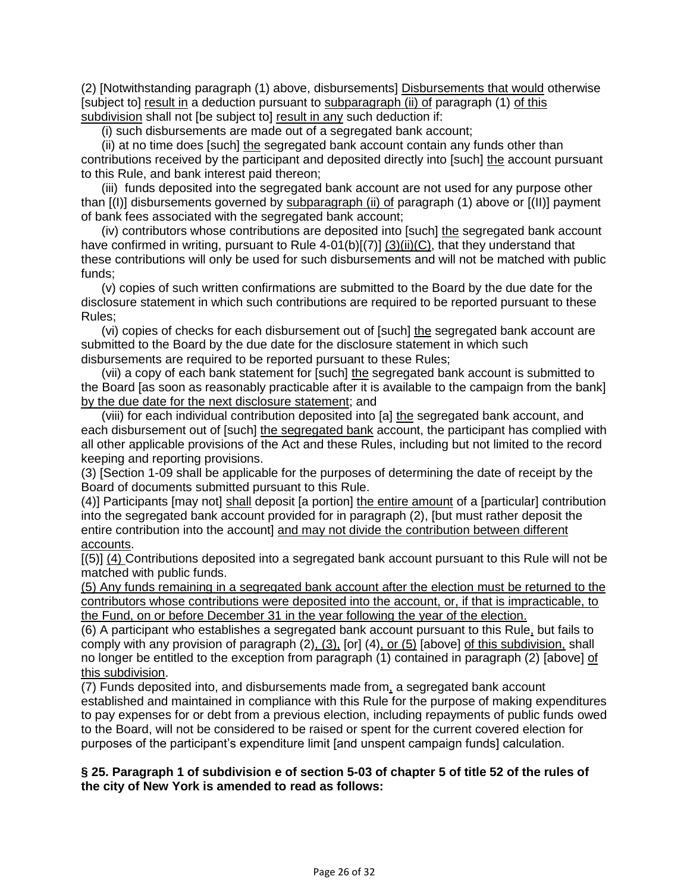(2) [Notwithstanding paragraph (1) above, disbursements] Disbursements that would otherwise [subject to] result in a deduction pursuant to subparagraph (ii) of paragraph (1) of this subdivision shall not [be subject to] result in any such deduction if:

(i) such disbursements are made out of a segregated bank account;

(ii) at no time does [such] the segregated bank account contain any funds other than contributions received by the participant and deposited directly into [such] the account pursuant to this Rule, and bank interest paid thereon;

(iii) funds deposited into the segregated bank account are not used for any purpose other than [(I)] disbursements governed by subparagraph (ii) of paragraph (1) above or [(II)] payment of bank fees associated with the segregated bank account;

(iv) contributors whose contributions are deposited into [such] the segregated bank account have confirmed in writing, pursuant to Rule 4-01(b)[(7)]  $(3)(ii)(C)$ , that they understand that these contributions will only be used for such disbursements and will not be matched with public funds;

(v) copies of such written confirmations are submitted to the Board by the due date for the disclosure statement in which such contributions are required to be reported pursuant to these Rules;

(vi) copies of checks for each disbursement out of [such] the segregated bank account are submitted to the Board by the due date for the disclosure statement in which such disbursements are required to be reported pursuant to these Rules;

(vii) a copy of each bank statement for [such] the segregated bank account is submitted to the Board [as soon as reasonably practicable after it is available to the campaign from the bank] by the due date for the next disclosure statement; and

(viii) for each individual contribution deposited into [a] the segregated bank account, and each disbursement out of [such] the segregated bank account, the participant has complied with all other applicable provisions of the Act and these Rules, including but not limited to the record keeping and reporting provisions.

(3) [Section 1-09 shall be applicable for the purposes of determining the date of receipt by the Board of documents submitted pursuant to this Rule.

(4)] Participants [may not] shall deposit [a portion] the entire amount of a [particular] contribution into the segregated bank account provided for in paragraph (2), [but must rather deposit the entire contribution into the account] and may not divide the contribution between different accounts.

[(5)] (4) Contributions deposited into a segregated bank account pursuant to this Rule will not be matched with public funds.

(5) Any funds remaining in a segregated bank account after the election must be returned to the contributors whose contributions were deposited into the account, or, if that is impracticable, to the Fund, on or before December 31 in the year following the year of the election.

(6) A participant who establishes a segregated bank account pursuant to this Rule, but fails to comply with any provision of paragraph (2), (3), [or] (4), or (5) [above] of this subdivision, shall no longer be entitled to the exception from paragraph (1) contained in paragraph (2) [above] of this subdivision.

(7) Funds deposited into, and disbursements made from, a segregated bank account established and maintained in compliance with this Rule for the purpose of making expenditures to pay expenses for or debt from a previous election, including repayments of public funds owed to the Board, will not be considered to be raised or spent for the current covered election for purposes of the participant's expenditure limit [and unspent campaign funds] calculation.

### **§ 25. Paragraph 1 of subdivision e of section 5-03 of chapter 5 of title 52 of the rules of the city of New York is amended to read as follows:**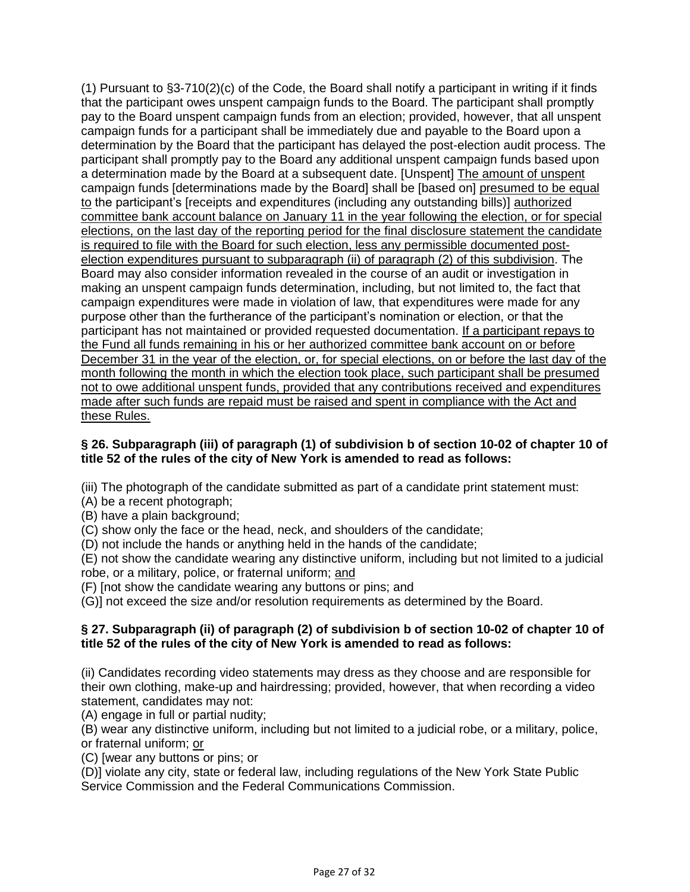(1) Pursuant to §3-710(2)(c) of the Code, the Board shall notify a participant in writing if it finds that the participant owes unspent campaign funds to the Board. The participant shall promptly pay to the Board unspent campaign funds from an election; provided, however, that all unspent campaign funds for a participant shall be immediately due and payable to the Board upon a determination by the Board that the participant has delayed the post-election audit process. The participant shall promptly pay to the Board any additional unspent campaign funds based upon a determination made by the Board at a subsequent date. [Unspent] The amount of unspent campaign funds [determinations made by the Board] shall be [based on] presumed to be equal to the participant's [receipts and expenditures (including any outstanding bills)] authorized committee bank account balance on January 11 in the year following the election, or for special elections, on the last day of the reporting period for the final disclosure statement the candidate is required to file with the Board for such election, less any permissible documented postelection expenditures pursuant to subparagraph (ii) of paragraph (2) of this subdivision. The Board may also consider information revealed in the course of an audit or investigation in making an unspent campaign funds determination, including, but not limited to, the fact that campaign expenditures were made in violation of law, that expenditures were made for any purpose other than the furtherance of the participant's nomination or election, or that the participant has not maintained or provided requested documentation. If a participant repays to the Fund all funds remaining in his or her authorized committee bank account on or before December 31 in the year of the election, or, for special elections, on or before the last day of the month following the month in which the election took place, such participant shall be presumed not to owe additional unspent funds, provided that any contributions received and expenditures made after such funds are repaid must be raised and spent in compliance with the Act and these Rules.

### **§ 26. Subparagraph (iii) of paragraph (1) of subdivision b of section 10-02 of chapter 10 of title 52 of the rules of the city of New York is amended to read as follows:**

(iii) The photograph of the candidate submitted as part of a candidate print statement must:

- (A) be a recent photograph;
- (B) have a plain background;
- (C) show only the face or the head, neck, and shoulders of the candidate;
- (D) not include the hands or anything held in the hands of the candidate;

(E) not show the candidate wearing any distinctive uniform, including but not limited to a judicial robe, or a military, police, or fraternal uniform; and

- (F) [not show the candidate wearing any buttons or pins; and
- (G)] not exceed the size and/or resolution requirements as determined by the Board.

### **§ 27. Subparagraph (ii) of paragraph (2) of subdivision b of section 10-02 of chapter 10 of title 52 of the rules of the city of New York is amended to read as follows:**

(ii) Candidates recording video statements may dress as they choose and are responsible for their own clothing, make-up and hairdressing; provided, however, that when recording a video statement, candidates may not:

(A) engage in full or partial nudity;

(B) wear any distinctive uniform, including but not limited to a judicial robe, or a military, police, or fraternal uniform; or

(C) [wear any buttons or pins; or

(D)] violate any city, state or federal law, including regulations of the New York State Public Service Commission and the Federal Communications Commission.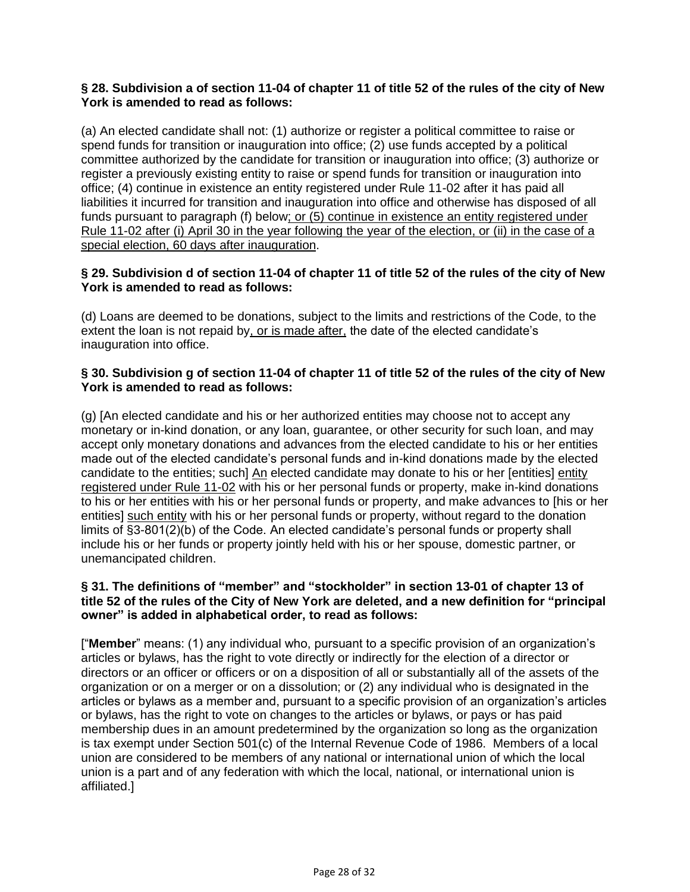### **§ 28. Subdivision a of section 11-04 of chapter 11 of title 52 of the rules of the city of New York is amended to read as follows:**

(a) An elected candidate shall not: (1) authorize or register a political committee to raise or spend funds for transition or inauguration into office; (2) use funds accepted by a political committee authorized by the candidate for transition or inauguration into office; (3) authorize or register a previously existing entity to raise or spend funds for transition or inauguration into office; (4) continue in existence an entity registered under Rule 11-02 after it has paid all liabilities it incurred for transition and inauguration into office and otherwise has disposed of all funds pursuant to paragraph (f) below; or (5) continue in existence an entity registered under Rule 11-02 after (i) April 30 in the year following the year of the election, or (ii) in the case of a special election, 60 days after inauguration.

### **§ 29. Subdivision d of section 11-04 of chapter 11 of title 52 of the rules of the city of New York is amended to read as follows:**

(d) Loans are deemed to be donations, subject to the limits and restrictions of the Code, to the extent the loan is not repaid by, or is made after, the date of the elected candidate's inauguration into office.

### **§ 30. Subdivision g of section 11-04 of chapter 11 of title 52 of the rules of the city of New York is amended to read as follows:**

(g) [An elected candidate and his or her authorized entities may choose not to accept any monetary or in-kind donation, or any loan, guarantee, or other security for such loan, and may accept only monetary donations and advances from the elected candidate to his or her entities made out of the elected candidate's personal funds and in-kind donations made by the elected candidate to the entities; such] An elected candidate may donate to his or her [entities] entity registered under Rule 11-02 with his or her personal funds or property, make in-kind donations to his or her entities with his or her personal funds or property, and make advances to [his or her entities] such entity with his or her personal funds or property, without regard to the donation limits of §3-801(2)(b) of the Code. An elected candidate's personal funds or property shall include his or her funds or property jointly held with his or her spouse, domestic partner, or unemancipated children.

### **§ 31. The definitions of "member" and "stockholder" in section 13-01 of chapter 13 of title 52 of the rules of the City of New York are deleted, and a new definition for "principal owner" is added in alphabetical order, to read as follows:**

["**Member**" means: (1) any individual who, pursuant to a specific provision of an organization's articles or bylaws, has the right to vote directly or indirectly for the election of a director or directors or an officer or officers or on a disposition of all or substantially all of the assets of the organization or on a merger or on a dissolution; or (2) any individual who is designated in the articles or bylaws as a member and, pursuant to a specific provision of an organization's articles or bylaws, has the right to vote on changes to the articles or bylaws, or pays or has paid membership dues in an amount predetermined by the organization so long as the organization is tax exempt under Section 501(c) of the Internal Revenue Code of 1986. Members of a local union are considered to be members of any national or international union of which the local union is a part and of any federation with which the local, national, or international union is affiliated.]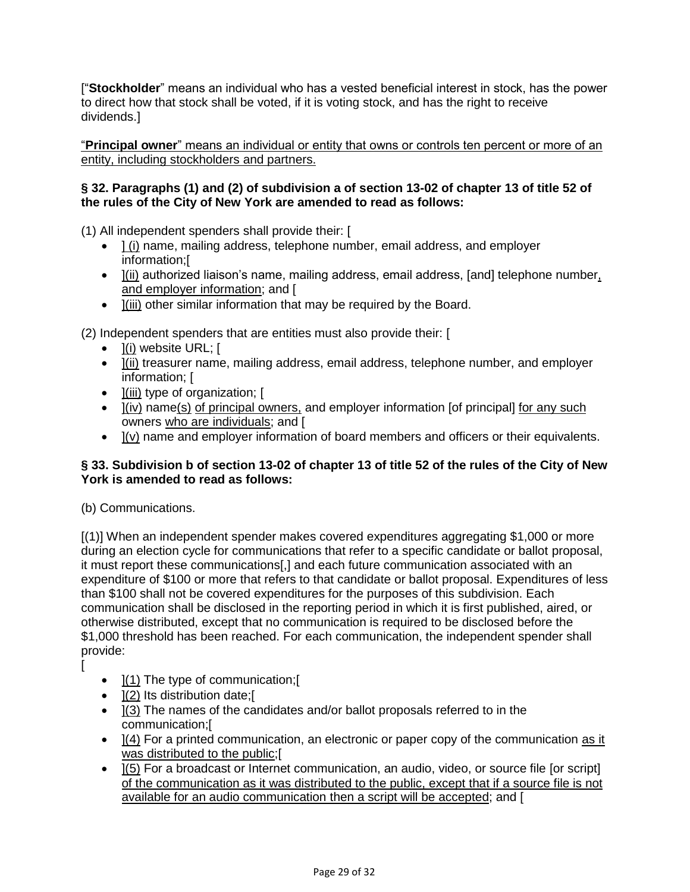["**Stockholder**" means an individual who has a vested beneficial interest in stock, has the power to direct how that stock shall be voted, if it is voting stock, and has the right to receive dividends.]

"**Principal owner**" means an individual or entity that owns or controls ten percent or more of an entity, including stockholders and partners.

## **§ 32. Paragraphs (1) and (2) of subdivision a of section 13-02 of chapter 13 of title 52 of the rules of the City of New York are amended to read as follows:**

(1) All independent spenders shall provide their: [

- 1 (i) name, mailing address, telephone number, email address, and employer information;[
- I(ii) authorized liaison's name, mailing address, email address, [and] telephone number, and employer information; and [
- I(iii) other similar information that may be required by the Board.

(2) Independent spenders that are entities must also provide their: [

- $\bullet$   $\left| \right|$  website URL;  $\left[ \right]$
- I(ii) treasurer name, mailing address, email address, telephone number, and employer information; [
- I(iii) type of organization; [
- I(iv) name(s) of principal owners, and employer information [of principal] for any such owners who are individuals; and [
- $\bullet$   $\vert$ (v) name and employer information of board members and officers or their equivalents.

### **§ 33. Subdivision b of section 13-02 of chapter 13 of title 52 of the rules of the City of New York is amended to read as follows:**

(b) Communications.

[(1)] When an independent spender makes covered expenditures aggregating \$1,000 or more during an election cycle for communications that refer to a specific candidate or ballot proposal, it must report these communications[,] and each future communication associated with an expenditure of \$100 or more that refers to that candidate or ballot proposal. Expenditures of less than \$100 shall not be covered expenditures for the purposes of this subdivision. Each communication shall be disclosed in the reporting period in which it is first published, aired, or otherwise distributed, except that no communication is required to be disclosed before the \$1,000 threshold has been reached. For each communication, the independent spender shall provide:

- [
- ](1) The type of communication;[
- 1(2) Its distribution date;
- $\bullet$   $\mid$  (3) The names of the candidates and/or ballot proposals referred to in the communication;[
- $\bullet$  1(4) For a printed communication, an electronic or paper copy of the communication as it was distributed to the public;[
- 1(5) For a broadcast or Internet communication, an audio, video, or source file [or script] of the communication as it was distributed to the public, except that if a source file is not available for an audio communication then a script will be accepted; and [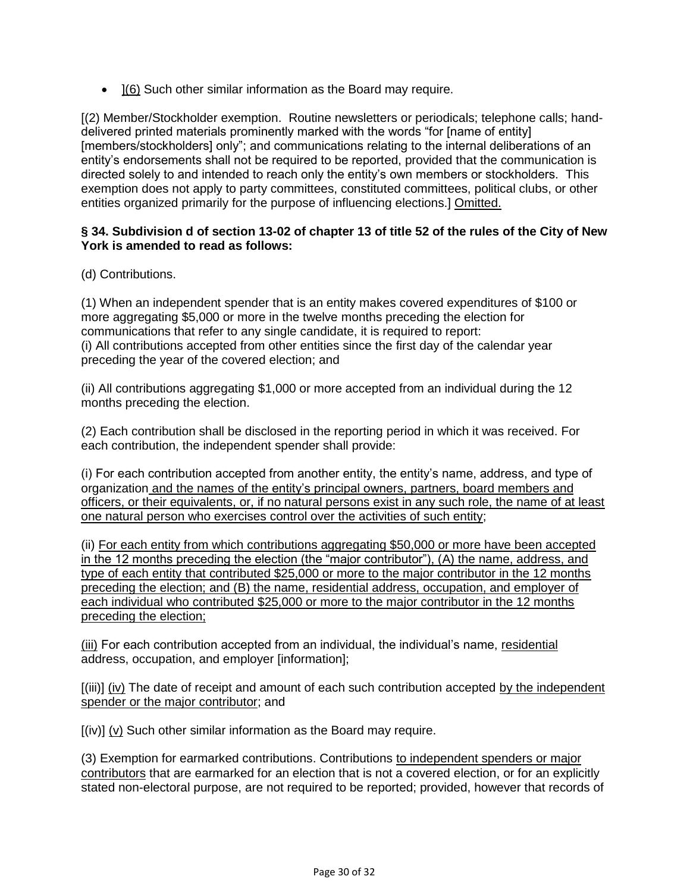• (6) Such other similar information as the Board may require.

[(2) Member/Stockholder exemption. Routine newsletters or periodicals; telephone calls; handdelivered printed materials prominently marked with the words "for [name of entity] [members/stockholders] only"; and communications relating to the internal deliberations of an entity's endorsements shall not be required to be reported, provided that the communication is directed solely to and intended to reach only the entity's own members or stockholders. This exemption does not apply to party committees, constituted committees, political clubs, or other entities organized primarily for the purpose of influencing elections.] Omitted.

### **§ 34. Subdivision d of section 13-02 of chapter 13 of title 52 of the rules of the City of New York is amended to read as follows:**

### (d) Contributions.

(1) When an independent spender that is an entity makes covered expenditures of \$100 or more aggregating \$5,000 or more in the twelve months preceding the election for communications that refer to any single candidate, it is required to report: (i) All contributions accepted from other entities since the first day of the calendar year preceding the year of the covered election; and

(ii) All contributions aggregating \$1,000 or more accepted from an individual during the 12 months preceding the election.

(2) Each contribution shall be disclosed in the reporting period in which it was received. For each contribution, the independent spender shall provide:

(i) For each contribution accepted from another entity, the entity's name, address, and type of organization and the names of the entity's principal owners, partners, board members and officers, or their equivalents, or, if no natural persons exist in any such role, the name of at least one natural person who exercises control over the activities of such entity;

(ii) For each entity from which contributions aggregating \$50,000 or more have been accepted in the 12 months preceding the election (the "major contributor"), (A) the name, address, and type of each entity that contributed \$25,000 or more to the major contributor in the 12 months preceding the election; and (B) the name, residential address, occupation, and employer of each individual who contributed \$25,000 or more to the major contributor in the 12 months preceding the election;

(iii) For each contribution accepted from an individual, the individual's name, residential address, occupation, and employer [information];

 $[(iii)]$   $(iv)$  The date of receipt and amount of each such contribution accepted by the independent spender or the major contributor; and

[(iv)] (v) Such other similar information as the Board may require.

(3) Exemption for earmarked contributions. Contributions to independent spenders or major contributors that are earmarked for an election that is not a covered election, or for an explicitly stated non-electoral purpose, are not required to be reported; provided, however that records of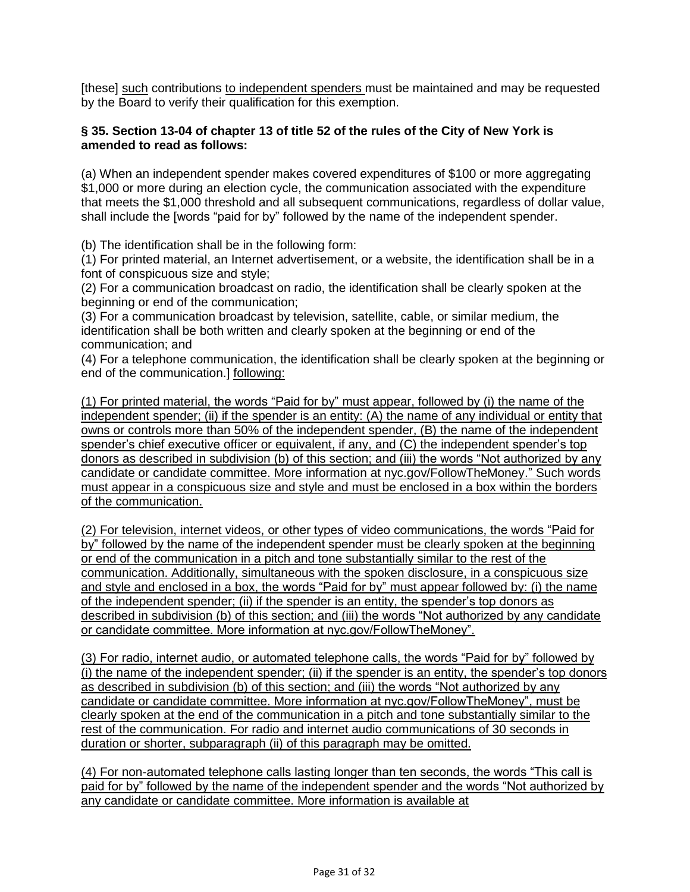[these] such contributions to independent spenders must be maintained and may be requested by the Board to verify their qualification for this exemption.

### **§ 35. Section 13-04 of chapter 13 of title 52 of the rules of the City of New York is amended to read as follows:**

(a) When an independent spender makes covered expenditures of \$100 or more aggregating \$1,000 or more during an election cycle, the communication associated with the expenditure that meets the \$1,000 threshold and all subsequent communications, regardless of dollar value, shall include the [words "paid for by" followed by the name of the independent spender.

(b) The identification shall be in the following form:

(1) For printed material, an Internet advertisement, or a website, the identification shall be in a font of conspicuous size and style;

(2) For a communication broadcast on radio, the identification shall be clearly spoken at the beginning or end of the communication;

(3) For a communication broadcast by television, satellite, cable, or similar medium, the identification shall be both written and clearly spoken at the beginning or end of the communication; and

(4) For a telephone communication, the identification shall be clearly spoken at the beginning or end of the communication.] following:

(1) For printed material, the words "Paid for by" must appear, followed by (i) the name of the independent spender; (ii) if the spender is an entity: (A) the name of any individual or entity that owns or controls more than 50% of the independent spender, (B) the name of the independent spender's chief executive officer or equivalent, if any, and (C) the independent spender's top donors as described in subdivision (b) of this section; and (iii) the words "Not authorized by any candidate or candidate committee. More information at nyc.gov/FollowTheMoney." Such words must appear in a conspicuous size and style and must be enclosed in a box within the borders of the communication.

(2) For television, internet videos, or other types of video communications, the words "Paid for by" followed by the name of the independent spender must be clearly spoken at the beginning or end of the communication in a pitch and tone substantially similar to the rest of the communication. Additionally, simultaneous with the spoken disclosure, in a conspicuous size and style and enclosed in a box, the words "Paid for by" must appear followed by: (i) the name of the independent spender; (ii) if the spender is an entity, the spender's top donors as described in subdivision (b) of this section; and (iii) the words "Not authorized by any candidate or candidate committee. More information at nyc.gov/FollowTheMoney".

(3) For radio, internet audio, or automated telephone calls, the words "Paid for by" followed by (i) the name of the independent spender; (ii) if the spender is an entity, the spender's top donors as described in subdivision (b) of this section; and (iii) the words "Not authorized by any candidate or candidate committee. More information at nyc.gov/FollowTheMoney", must be clearly spoken at the end of the communication in a pitch and tone substantially similar to the rest of the communication. For radio and internet audio communications of 30 seconds in duration or shorter, subparagraph (ii) of this paragraph may be omitted.

(4) For non-automated telephone calls lasting longer than ten seconds, the words "This call is paid for by" followed by the name of the independent spender and the words "Not authorized by any candidate or candidate committee. More information is available at